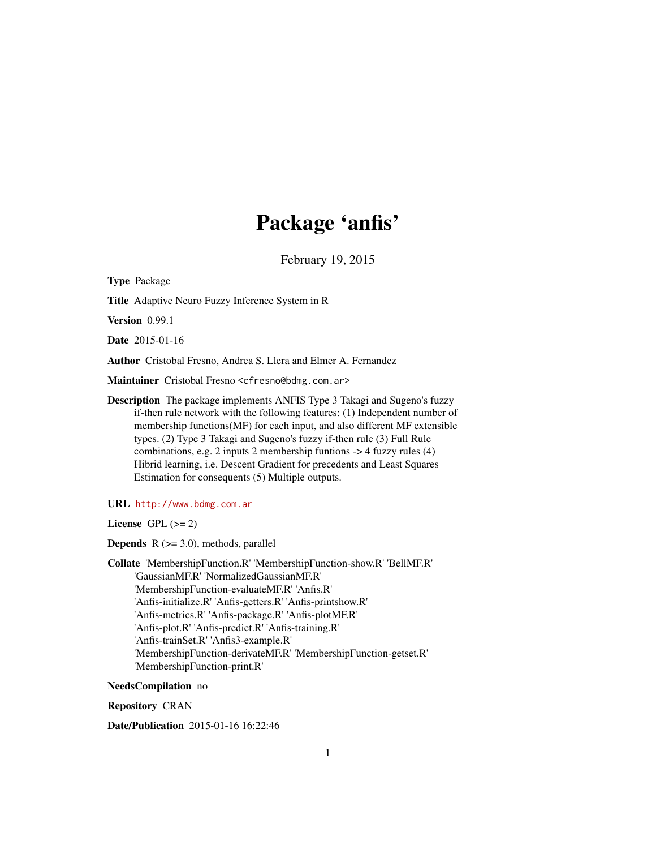## Package 'anfis'

February 19, 2015

<span id="page-0-0"></span>Type Package Title Adaptive Neuro Fuzzy Inference System in R Version 0.99.1 Date 2015-01-16 Author Cristobal Fresno, Andrea S. Llera and Elmer A. Fernandez Maintainer Cristobal Fresno <cfresno@bdmg.com.ar> Description The package implements ANFIS Type 3 Takagi and Sugeno's fuzzy if-then rule network with the following features: (1) Independent number of membership functions(MF) for each input, and also different MF extensible types. (2) Type 3 Takagi and Sugeno's fuzzy if-then rule (3) Full Rule combinations, e.g. 2 inputs 2 membership funtions -> 4 fuzzy rules (4) Hibrid learning, i.e. Descent Gradient for precedents and Least Squares Estimation for consequents (5) Multiple outputs.

URL <http://www.bdmg.com.ar>

License GPL  $(>= 2)$ 

**Depends**  $R$  ( $>= 3.0$ ), methods, parallel

Collate 'MembershipFunction.R' 'MembershipFunction-show.R' 'BellMF.R' 'GaussianMF.R' 'NormalizedGaussianMF.R' 'MembershipFunction-evaluateMF.R' 'Anfis.R' 'Anfis-initialize.R' 'Anfis-getters.R' 'Anfis-printshow.R' 'Anfis-metrics.R' 'Anfis-package.R' 'Anfis-plotMF.R' 'Anfis-plot.R' 'Anfis-predict.R' 'Anfis-training.R' 'Anfis-trainSet.R' 'Anfis3-example.R' 'MembershipFunction-derivateMF.R' 'MembershipFunction-getset.R' 'MembershipFunction-print.R'

NeedsCompilation no

Repository CRAN

Date/Publication 2015-01-16 16:22:46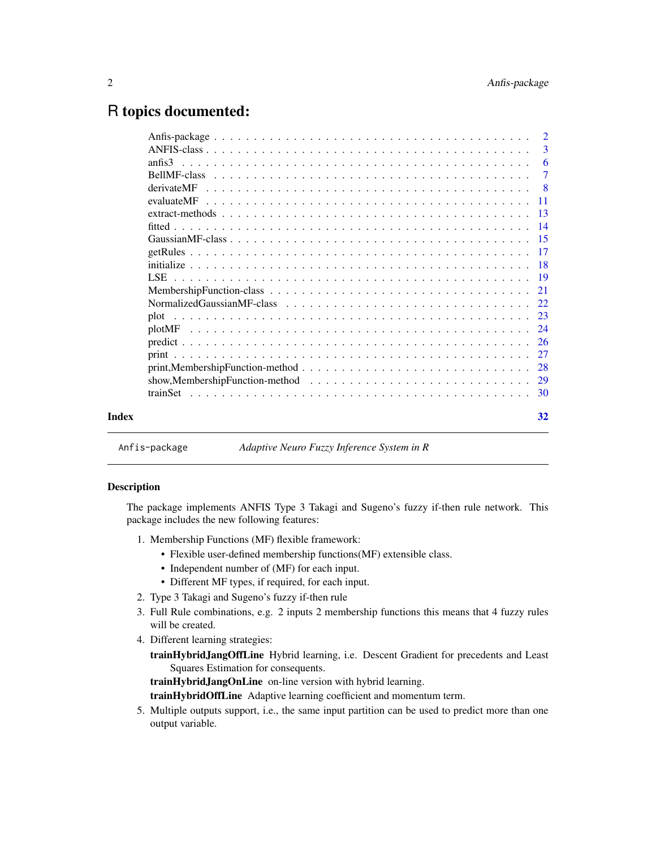## <span id="page-1-0"></span>R topics documented:

|       |            | $\overline{2}$ |
|-------|------------|----------------|
|       |            | 3              |
|       | anfis3     |                |
|       |            |                |
|       | derivateMF | - 8            |
|       | evaluateMF |                |
|       |            |                |
|       |            |                |
|       |            |                |
|       |            |                |
|       |            |                |
|       |            |                |
|       |            |                |
|       |            |                |
|       | plot       |                |
|       |            |                |
|       |            |                |
|       |            |                |
|       |            |                |
|       |            |                |
|       |            |                |
| Index |            | 32             |
|       |            |                |

Anfis-package *Adaptive Neuro Fuzzy Inference System in R*

## Description

The package implements ANFIS Type 3 Takagi and Sugeno's fuzzy if-then rule network. This package includes the new following features:

- 1. Membership Functions (MF) flexible framework:
	- Flexible user-defined membership functions(MF) extensible class.
	- Independent number of (MF) for each input.
	- Different MF types, if required, for each input.
- 2. Type 3 Takagi and Sugeno's fuzzy if-then rule
- 3. Full Rule combinations, e.g. 2 inputs 2 membership functions this means that 4 fuzzy rules will be created.
- 4. Different learning strategies:
	- trainHybridJangOffLine Hybrid learning, i.e. Descent Gradient for precedents and Least Squares Estimation for consequents.

trainHybridJangOnLine on-line version with hybrid learning.

trainHybridOffLine Adaptive learning coefficient and momentum term.

5. Multiple outputs support, i.e., the same input partition can be used to predict more than one output variable.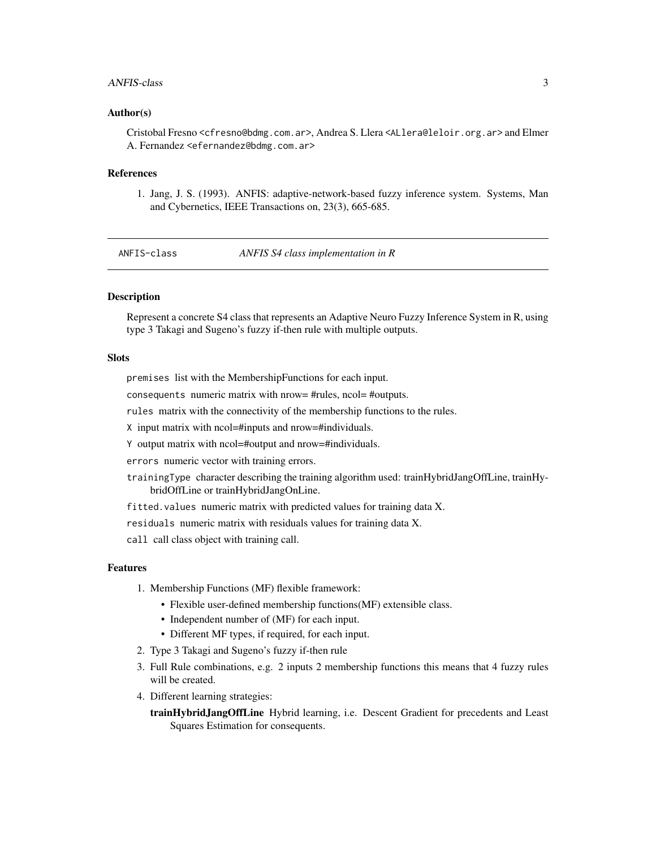#### <span id="page-2-0"></span>ANFIS-class 3

#### Author(s)

Cristobal Fresno <cfresno@bdmg.com.ar>, Andrea S. Llera <ALlera@leloir.org.ar> and Elmer A. Fernandez <efernandez@bdmg.com.ar>

#### References

1. Jang, J. S. (1993). ANFIS: adaptive-network-based fuzzy inference system. Systems, Man and Cybernetics, IEEE Transactions on, 23(3), 665-685.

<span id="page-2-1"></span>ANFIS-class *ANFIS S4 class implementation in R*

## Description

Represent a concrete S4 class that represents an Adaptive Neuro Fuzzy Inference System in R, using type 3 Takagi and Sugeno's fuzzy if-then rule with multiple outputs.

#### **Slots**

premises list with the MembershipFunctions for each input.

consequents numeric matrix with nrow= #rules, ncol= #outputs.

rules matrix with the connectivity of the membership functions to the rules.

X input matrix with ncol=#inputs and nrow=#individuals.

Y output matrix with ncol=#output and nrow=#individuals.

errors numeric vector with training errors.

trainingType character describing the training algorithm used: trainHybridJangOffLine, trainHybridOffLine or trainHybridJangOnLine.

fitted.values numeric matrix with predicted values for training data X.

residuals numeric matrix with residuals values for training data X.

call call class object with training call.

#### Features

- 1. Membership Functions (MF) flexible framework:
	- Flexible user-defined membership functions(MF) extensible class.
	- Independent number of (MF) for each input.
	- Different MF types, if required, for each input.
- 2. Type 3 Takagi and Sugeno's fuzzy if-then rule
- 3. Full Rule combinations, e.g. 2 inputs 2 membership functions this means that 4 fuzzy rules will be created.
- 4. Different learning strategies:

trainHybridJangOffLine Hybrid learning, i.e. Descent Gradient for precedents and Least Squares Estimation for consequents.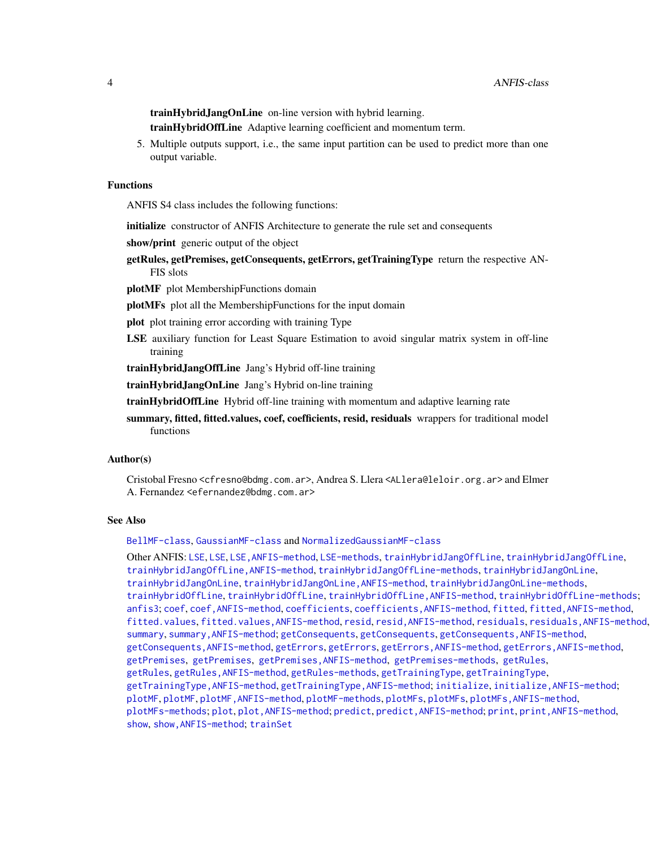<span id="page-3-0"></span>trainHybridJangOnLine on-line version with hybrid learning.

trainHybridOffLine Adaptive learning coefficient and momentum term.

5. Multiple outputs support, i.e., the same input partition can be used to predict more than one output variable.

#### Functions

ANFIS S4 class includes the following functions:

initialize constructor of ANFIS Architecture to generate the rule set and consequents

show/print generic output of the object

getRules, getPremises, getConsequents, getErrors, getTrainingType return the respective AN-FIS slots

plotMF plot MembershipFunctions domain

plotMFs plot all the MembershipFunctions for the input domain

plot plot training error according with training Type

LSE auxiliary function for Least Square Estimation to avoid singular matrix system in off-line training

trainHybridJangOffLine Jang's Hybrid off-line training

trainHybridJangOnLine Jang's Hybrid on-line training

trainHybridOffLine Hybrid off-line training with momentum and adaptive learning rate

summary, fitted, fitted.values, coef, coefficients, resid, residuals wrappers for traditional model functions

#### Author(s)

Cristobal Fresno <cfresno@bdmg.com.ar>, Andrea S. Llera <ALlera@leloir.org.ar> and Elmer A. Fernandez <efernandez@bdmg.com.ar>

#### See Also

[BellMF-class](#page-6-1), [GaussianMF-class](#page-14-1) and [NormalizedGaussianMF-class](#page-21-1)

Other ANFIS: [LSE](#page-18-1), [LSE](#page-18-1), [LSE,ANFIS-method](#page-0-0), [LSE-methods](#page-18-2), [trainHybridJangOffLine](#page-18-2), [trainHybridJangOffLine](#page-18-2), [trainHybridJangOffLine,ANFIS-method](#page-0-0), [trainHybridJangOffLine-methods](#page-18-2), [trainHybridJangOnLine](#page-18-2), [trainHybridJangOnLine](#page-18-2), [trainHybridJangOnLine,ANFIS-method](#page-0-0), [trainHybridJangOnLine-methods](#page-18-2), [trainHybridOffLine](#page-18-2), [trainHybridOffLine](#page-18-2), [trainHybridOffLine,ANFIS-method](#page-0-0), [trainHybridOffLine-methods](#page-18-2); [anfis3](#page-5-1); [coef](#page-13-1), [coef,ANFIS-method](#page-0-0), [coefficients](#page-13-1), [coefficients,ANFIS-method](#page-0-0), [fitted](#page-13-2), [fitted,ANFIS-method](#page-0-0), [fitted.values](#page-13-1), fitted.values, ANFIS-method, [resid](#page-13-1), resid, ANFIS-method, [residuals](#page-13-1), residuals, ANFIS-method, [summary](#page-13-1), [summary,ANFIS-method](#page-0-0); [getConsequents](#page-16-1), [getConsequents](#page-16-1), [getConsequents,ANFIS-method](#page-0-0), [getConsequents,ANFIS-method](#page-0-0), [getErrors](#page-16-1), [getErrors](#page-16-1), [getErrors,ANFIS-method](#page-0-0), [getErrors,ANFIS-method](#page-0-0), [getPremises](#page-16-1), [getPremises](#page-16-1), [getPremises,ANFIS-method](#page-0-0), [getPremises-methods](#page-16-1), [getRules](#page-16-2), [getRules](#page-16-2), [getRules,ANFIS-method](#page-0-0), [getRules-methods](#page-16-1), [getTrainingType](#page-16-1), [getTrainingType](#page-16-1), [getTrainingType,ANFIS-method](#page-0-0), [getTrainingType,ANFIS-method](#page-0-0); [initialize](#page-17-1), [initialize,ANFIS-method](#page-0-0); [plotMF](#page-23-1), [plotMF](#page-23-1), [plotMF,ANFIS-method](#page-0-0), [plotMF-methods](#page-23-2), [plotMFs](#page-23-2), [plotMFs](#page-23-2), [plotMFs,ANFIS-method](#page-0-0), [plotMFs-methods](#page-23-2); [plot](#page-22-1), plot, ANFIS-method; [predict](#page-25-1), predict, ANFIS-method; [print](#page-26-1), print, ANFIS-method, [show](#page-26-2), [show,ANFIS-method](#page-0-0); [trainSet](#page-29-1)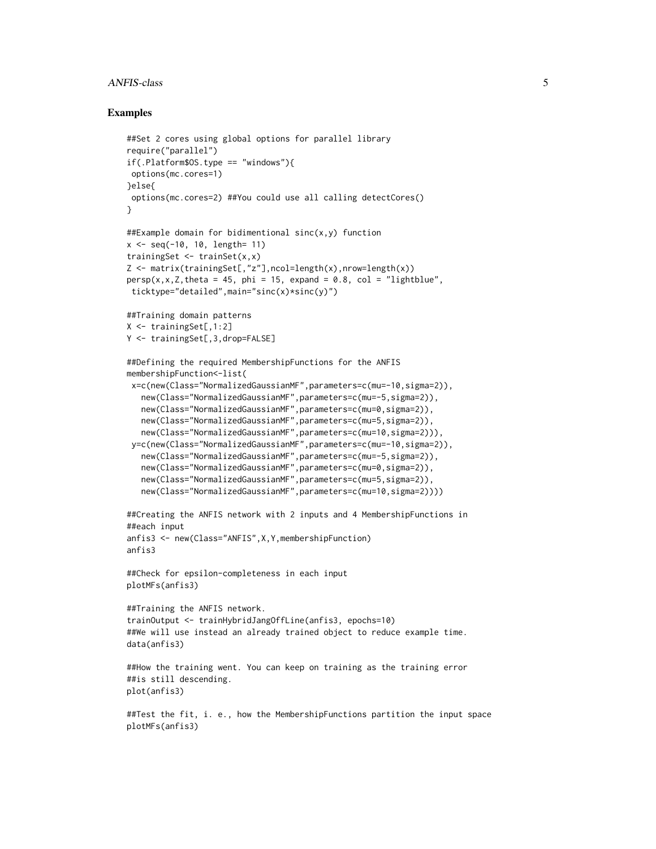#### ANFIS-class 5

#### Examples

```
##Set 2 cores using global options for parallel library
require("parallel")
if(.Platform$OS.type == "windows"){
options(mc.cores=1)
}else{
options(mc.cores=2) ##You could use all calling detectCores()
}
##Example domain for bidimentional sinc(x,y) function
x <- seq(-10, 10, length= 11)
trainingSet <- trainSet(x,x)
Z <- matrix(trainingSet[,"z"],ncol=length(x),nrow=length(x))
persp(x, x, Z, theta = 45, phi = 15, expand = 0.8, col = "lightblue",ticktype="detailed",main="sinc(x)*sinc(y)")
##Training domain patterns
X <- trainingSet[,1:2]
Y <- trainingSet[,3,drop=FALSE]
##Defining the required MembershipFunctions for the ANFIS
membershipFunction<-list(
x=c(new(Class="NormalizedGaussianMF",parameters=c(mu=-10,sigma=2)),
  new(Class="NormalizedGaussianMF",parameters=c(mu=-5,sigma=2)),
  new(Class="NormalizedGaussianMF",parameters=c(mu=0,sigma=2)),
  new(Class="NormalizedGaussianMF",parameters=c(mu=5,sigma=2)),
  new(Class="NormalizedGaussianMF",parameters=c(mu=10,sigma=2))),
 y=c(new(Class="NormalizedGaussianMF",parameters=c(mu=-10,sigma=2)),
  new(Class="NormalizedGaussianMF",parameters=c(mu=-5,sigma=2)),
  new(Class="NormalizedGaussianMF",parameters=c(mu=0,sigma=2)),
  new(Class="NormalizedGaussianMF",parameters=c(mu=5,sigma=2)),
  new(Class="NormalizedGaussianMF",parameters=c(mu=10,sigma=2))))
##Creating the ANFIS network with 2 inputs and 4 MembershipFunctions in
##each input
anfis3 <- new(Class="ANFIS",X,Y,membershipFunction)
anfis3
##Check for epsilon-completeness in each input
plotMFs(anfis3)
##Training the ANFIS network.
trainOutput <- trainHybridJangOffLine(anfis3, epochs=10)
##We will use instead an already trained object to reduce example time.
data(anfis3)
##How the training went. You can keep on training as the training error
##is still descending.
plot(anfis3)
##Test the fit, i. e., how the MembershipFunctions partition the input space
plotMFs(anfis3)
```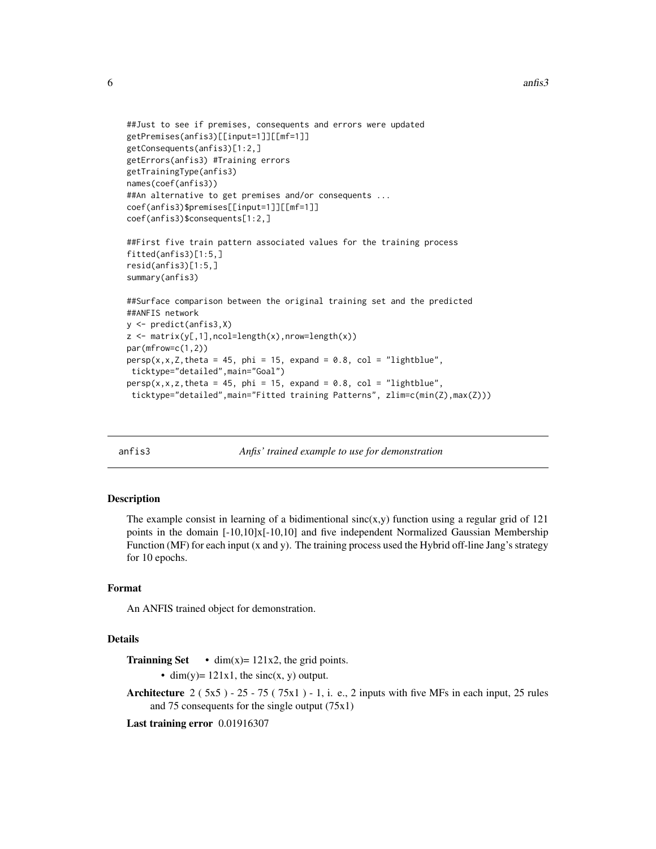```
##Just to see if premises, consequents and errors were updated
getPremises(anfis3)[[input=1]][[mf=1]]
getConsequents(anfis3)[1:2,]
getErrors(anfis3) #Training errors
getTrainingType(anfis3)
names(coef(anfis3))
##An alternative to get premises and/or consequents ...
coef(anfis3)$premises[[input=1]][[mf=1]]
coef(anfis3)$consequents[1:2,]
##First five train pattern associated values for the training process
fitted(anfis3)[1:5,]
resid(anfis3)[1:5,]
summary(anfis3)
##Surface comparison between the original training set and the predicted
##ANFIS network
y <- predict(anfis3,X)
z \leq - matrix(y[,1], ncol=length(x), nrow=length(x))
par(mfrow=c(1,2))
persp(x, x, Z, theta = 45, phi = 15, expand = 0.8, col = "lightblue",
```

```
ticktype="detailed",main="Goal")
persp(x, x, z, theta = 45, phi = 15, expand = 0.8, col = "lightblue",ticktype="detailed",main="Fitted training Patterns", zlim=c(min(Z),max(Z)))
```
<span id="page-5-1"></span>

| anfis3 |  |  |
|--------|--|--|
|        |  |  |

Anfis' *trained example to use for demonstration* 

#### Description

The example consist in learning of a bidimentional  $sinc(x,y)$  function using a regular grid of 121 points in the domain  $[-10,10]x[-10,10]$  and five independent Normalized Gaussian Membership Function (MF) for each input (x and y). The training process used the Hybrid off-line Jang's strategy for 10 epochs.

#### Format

An ANFIS trained object for demonstration.

#### Details

**Trainning Set** • dim(x)=  $121x2$ , the grid points.

• dim(y)=  $121x1$ , the sinc(x, y) output.

Architecture  $2 (5x5) - 25 - 75 (75x1) - 1$ , i. e., 2 inputs with five MFs in each input, 25 rules and 75 consequents for the single output (75x1)

Last training error 0.01916307

<span id="page-5-0"></span>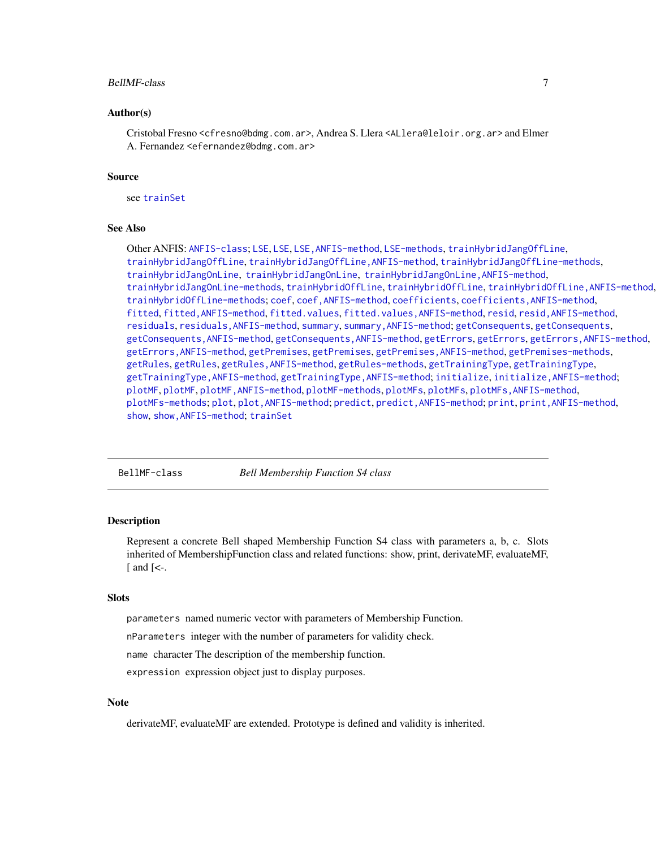#### <span id="page-6-0"></span>BellMF-class 7

#### Author(s)

Cristobal Fresno <cfresno@bdmg.com.ar>, Andrea S. Llera <ALlera@leloir.org.ar> and Elmer A. Fernandez <efernandez@bdmg.com.ar>

#### Source

see [trainSet](#page-29-1)

#### See Also

Other ANFIS: [ANFIS-class](#page-2-1); [LSE](#page-18-1), LSE, LSE, ANFIS-method, [LSE-methods](#page-18-2), [trainHybridJangOffLine](#page-18-2), [trainHybridJangOffLine](#page-18-2), [trainHybridJangOffLine,ANFIS-method](#page-0-0), [trainHybridJangOffLine-methods](#page-18-2), [trainHybridJangOnLine](#page-18-2), [trainHybridJangOnLine](#page-18-2), [trainHybridJangOnLine,ANFIS-method](#page-0-0), [trainHybridJangOnLine-methods](#page-18-2), [trainHybridOffLine](#page-18-2), trainHybridOffLine, trainHybridOffLine, ANFIS-method, [trainHybridOffLine-methods](#page-18-2); [coef](#page-13-1), [coef,ANFIS-method](#page-0-0), [coefficients](#page-13-1), [coefficients,ANFIS-method](#page-0-0), [fitted](#page-13-2), fitted, ANFIS-method, [fitted.values](#page-13-1), fitted.values, ANFIS-method, [resid](#page-13-1), resid, ANFIS-method, [residuals](#page-13-1), [residuals,ANFIS-method](#page-0-0), [summary](#page-13-1), [summary,ANFIS-method](#page-0-0); [getConsequents](#page-16-1), [getConsequents](#page-16-1), [getConsequents,ANFIS-method](#page-0-0), [getConsequents,ANFIS-method](#page-0-0), [getErrors](#page-16-1), [getErrors](#page-16-1), [getErrors,ANFIS-method](#page-0-0), [getErrors,ANFIS-method](#page-0-0), [getPremises](#page-16-1), [getPremises](#page-16-1), [getPremises,ANFIS-method](#page-0-0), [getPremises-methods](#page-16-1), [getRules](#page-16-2), [getRules](#page-16-2), [getRules,ANFIS-method](#page-0-0), [getRules-methods](#page-16-1), [getTrainingType](#page-16-1), [getTrainingType](#page-16-1), [getTrainingType,ANFIS-method](#page-0-0), [getTrainingType,ANFIS-method](#page-0-0); [initialize](#page-17-1), [initialize,ANFIS-method](#page-0-0); [plotMF](#page-23-1), [plotMF](#page-23-1), [plotMF,ANFIS-method](#page-0-0), [plotMF-methods](#page-23-2), [plotMFs](#page-23-2), [plotMFs](#page-23-2), [plotMFs,ANFIS-method](#page-0-0), [plotMFs-methods](#page-23-2); [plot](#page-22-1), [plot,ANFIS-method](#page-0-0); [predict](#page-25-1), [predict,ANFIS-method](#page-0-0); [print](#page-26-1), [print,ANFIS-method](#page-0-0), [show](#page-26-2), [show,ANFIS-method](#page-0-0); [trainSet](#page-29-1)

<span id="page-6-1"></span>BellMF-class *Bell Membership Function S4 class*

## <span id="page-6-2"></span>Description

Represent a concrete Bell shaped Membership Function S4 class with parameters a, b, c. Slots inherited of MembershipFunction class and related functions: show, print, derivateMF, evaluateMF,  $\lceil$  and  $\lceil$  <-.

#### **Slots**

parameters named numeric vector with parameters of Membership Function.

nParameters integer with the number of parameters for validity check.

name character The description of the membership function.

expression expression object just to display purposes.

#### **Note**

derivateMF, evaluateMF are extended. Prototype is defined and validity is inherited.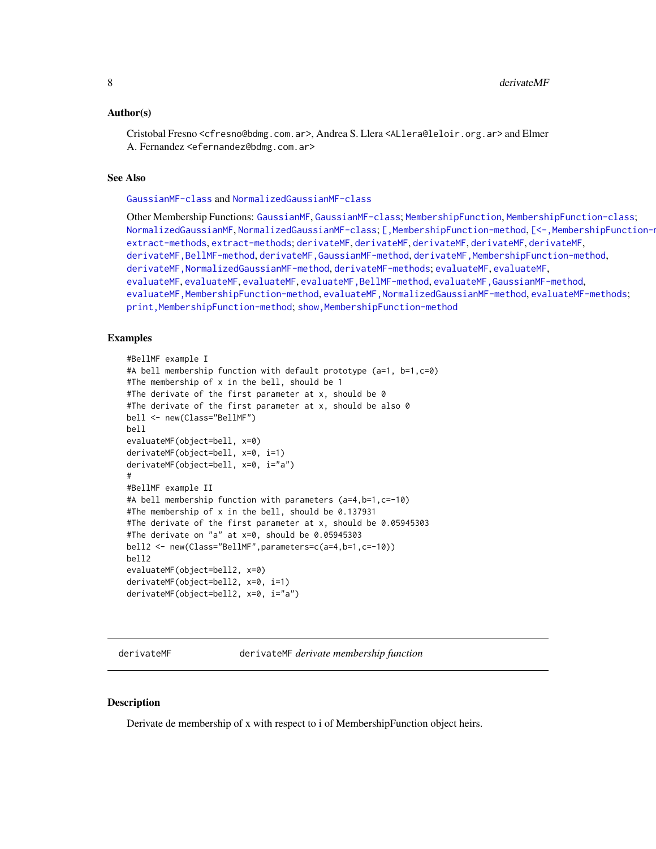#### <span id="page-7-0"></span>Author(s)

Cristobal Fresno <cfresno@bdmg.com.ar>, Andrea S. Llera <ALlera@leloir.org.ar> and Elmer A. Fernandez <efernandez@bdmg.com.ar>

#### See Also

[GaussianMF-class](#page-14-1) and [NormalizedGaussianMF-class](#page-21-1)

Other Membership Functions: [GaussianMF](#page-14-2), [GaussianMF-class](#page-14-1); [MembershipFunction](#page-20-1), [MembershipFunction-class](#page-20-2); [NormalizedGaussianMF](#page-21-2), [NormalizedGaussianMF-class](#page-21-1); [\[,MembershipFunction-method](#page-0-0), [\[<-,MembershipFunction-method](#page-0-0), [extract-methods](#page-12-1), [extract-methods](#page-12-1); [derivateMF](#page-7-1), [derivateMF](#page-7-1), [derivateMF](#page-7-1), [derivateMF](#page-7-1), [derivateMF](#page-7-1), [derivateMF,BellMF-method](#page-0-0), [derivateMF,GaussianMF-method](#page-0-0), [derivateMF,MembershipFunction-method](#page-0-0), [derivateMF,NormalizedGaussianMF-method](#page-0-0), [derivateMF-methods](#page-7-2); [evaluateMF](#page-10-1), [evaluateMF](#page-10-1), [evaluateMF](#page-10-1), [evaluateMF](#page-10-1), [evaluateMF](#page-10-1), [evaluateMF,BellMF-method](#page-0-0), [evaluateMF,GaussianMF-method](#page-0-0), [evaluateMF,MembershipFunction-method](#page-0-0), [evaluateMF,NormalizedGaussianMF-method](#page-0-0), [evaluateMF-methods](#page-10-2); [print,MembershipFunction-method](#page-0-0); [show,MembershipFunction-method](#page-0-0)

#### Examples

```
#BellMF example I
#A bell membership function with default prototype (a=1, b=1,c=0)
#The membership of x in the bell, should be 1
#The derivate of the first parameter at x, should be 0
#The derivate of the first parameter at x, should be also 0
bell <- new(Class="BellMF")
bell
evaluateMF(object=bell, x=0)
derivateMF(object=bell, x=0, i=1)
derivateMF(object=bell, x=0, i="a")
#
#BellMF example II
#A bell membership function with parameters (a=4,b=1,c=-10)
#The membership of x in the bell, should be 0.137931
#The derivate of the first parameter at x, should be 0.05945303
#The derivate on "a" at x=0, should be 0.05945303
bell2 <- new(Class="BellMF",parameters=c(a=4,b=1,c=-10))
bell2
evaluateMF(object=bell2, x=0)
derivateMF(object=bell2, x=0, i=1)
derivateMF(object=bell2, x=0, i="a")
```
<span id="page-7-1"></span>derivateMF derivateMF *derivate membership function*

#### <span id="page-7-2"></span>Description

Derivate de membership of x with respect to i of MembershipFunction object heirs.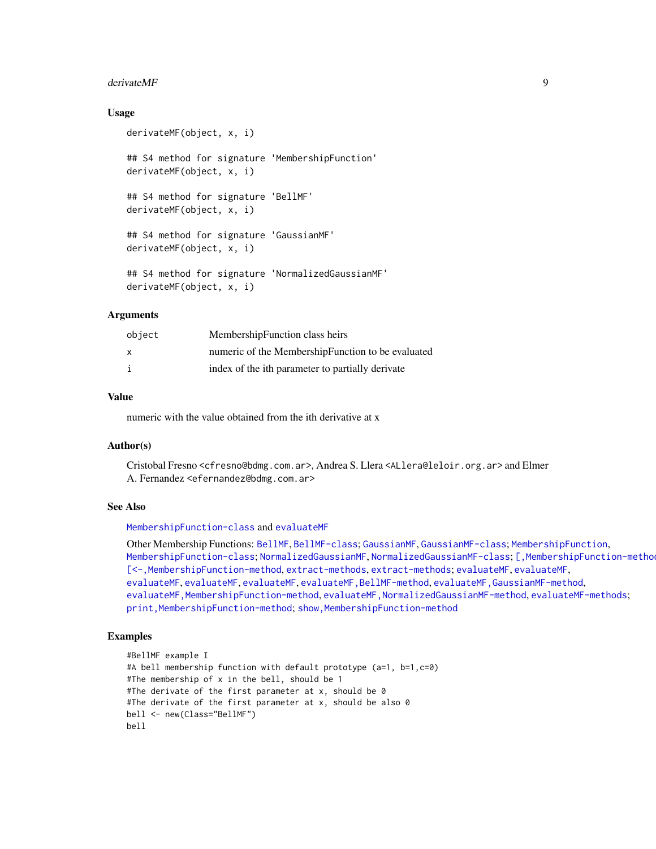#### <span id="page-8-0"></span>derivateMF 9

#### Usage

```
derivateMF(object, x, i)
## S4 method for signature 'MembershipFunction'
derivateMF(object, x, i)
## S4 method for signature 'BellMF'
derivateMF(object, x, i)
## S4 method for signature 'GaussianMF'
derivateMF(object, x, i)
## S4 method for signature 'NormalizedGaussianMF'
derivateMF(object, x, i)
```
## Arguments

| object | MembershipFunction class heirs                    |
|--------|---------------------------------------------------|
| x      | numeric of the MembershipFunction to be evaluated |
| i      | index of the ith parameter to partially derivate  |

## Value

numeric with the value obtained from the ith derivative at x

#### Author(s)

Cristobal Fresno <cfresno@bdmg.com.ar>, Andrea S. Llera <ALlera@leloir.org.ar> and Elmer A. Fernandez <efernandez@bdmg.com.ar>

## See Also

[MembershipFunction-class](#page-20-2) and [evaluateMF](#page-10-1)

Other Membership Functions: [BellMF](#page-6-2), [BellMF-class](#page-6-1); [GaussianMF](#page-14-2), [GaussianMF-class](#page-14-1); [MembershipFunction](#page-20-1), [MembershipFunction-class](#page-20-2); [NormalizedGaussianMF](#page-21-2), [NormalizedGaussianMF-class](#page-21-1); [\[,MembershipFunction-method](#page-0-0), [\[<-,MembershipFunction-method](#page-0-0), [extract-methods](#page-12-1), [extract-methods](#page-12-1); [evaluateMF](#page-10-1), [evaluateMF](#page-10-1), [evaluateMF](#page-10-1), [evaluateMF](#page-10-1), [evaluateMF](#page-10-1), [evaluateMF,BellMF-method](#page-0-0), [evaluateMF,GaussianMF-method](#page-0-0), [evaluateMF,MembershipFunction-method](#page-0-0), [evaluateMF,NormalizedGaussianMF-method](#page-0-0), [evaluateMF-methods](#page-10-2); print, MembershipFunction-method; show, MembershipFunction-method

## Examples

```
#BellMF example I
#A bell membership function with default prototype (a=1, b=1,c=0)
#The membership of x in the bell, should be 1
#The derivate of the first parameter at x, should be 0
#The derivate of the first parameter at x, should be also 0
bell <- new(Class="BellMF")
bell
```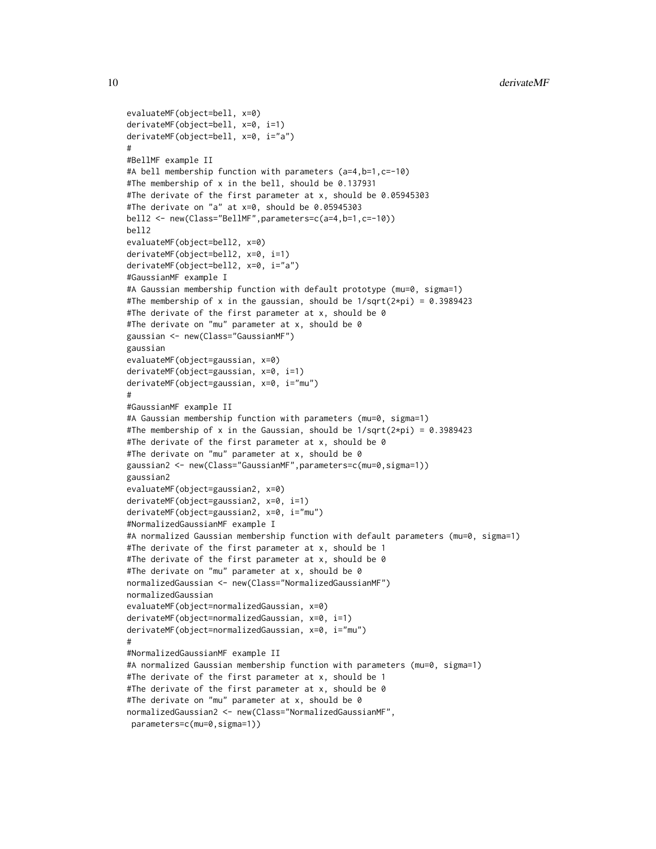```
evaluateMF(object=bell, x=0)
derivateMF(object=bell, x=0, i=1)
derivateMF(object=bell, x=0, i="a")
#
#BellMF example II
#A bell membership function with parameters (a=4,b=1,c=-10)
#The membership of x in the bell, should be 0.137931
#The derivate of the first parameter at x, should be 0.05945303
#The derivate on "a" at x=0, should be 0.05945303
bell2 <- new(Class="BellMF",parameters=c(a=4,b=1,c=-10))
bell2
evaluateMF(object=bell2, x=0)
derivateMF(object=bell2, x=0, i=1)
derivateMF(object=bell2, x=0, i="a")
#GaussianMF example I
#A Gaussian membership function with default prototype (mu=0, sigma=1)
#The membership of x in the gaussian, should be 1/sqrt(2*pi) = 0.3989423
#The derivate of the first parameter at x, should be 0
#The derivate on "mu" parameter at x, should be 0
gaussian <- new(Class="GaussianMF")
gaussian
evaluateMF(object=gaussian, x=0)
derivateMF(object=gaussian, x=0, i=1)
derivateMF(object=gaussian, x=0, i="mu")
#
#GaussianMF example II
#A Gaussian membership function with parameters (mu=0, sigma=1)
#The membership of x in the Gaussian, should be 1/\sqrt{2\pi} = 0.3989423
#The derivate of the first parameter at x, should be 0
#The derivate on "mu" parameter at x, should be 0
gaussian2 <- new(Class="GaussianMF",parameters=c(mu=0,sigma=1))
gaussian2
evaluateMF(object=gaussian2, x=0)
derivateMF(object=gaussian2, x=0, i=1)
derivateMF(object=gaussian2, x=0, i="mu")
#NormalizedGaussianMF example I
#A normalized Gaussian membership function with default parameters (mu=0, sigma=1)
#The derivate of the first parameter at x, should be 1
#The derivate of the first parameter at x, should be 0
#The derivate on "mu" parameter at x, should be 0
normalizedGaussian <- new(Class="NormalizedGaussianMF")
normalizedGaussian
evaluateMF(object=normalizedGaussian, x=0)
derivateMF(object=normalizedGaussian, x=0, i=1)
derivateMF(object=normalizedGaussian, x=0, i="mu")
#
#NormalizedGaussianMF example II
#A normalized Gaussian membership function with parameters (mu=0, sigma=1)
#The derivate of the first parameter at x, should be 1
#The derivate of the first parameter at x, should be 0
#The derivate on "mu" parameter at x, should be 0
normalizedGaussian2 <- new(Class="NormalizedGaussianMF",
parameters=c(mu=0,sigma=1))
```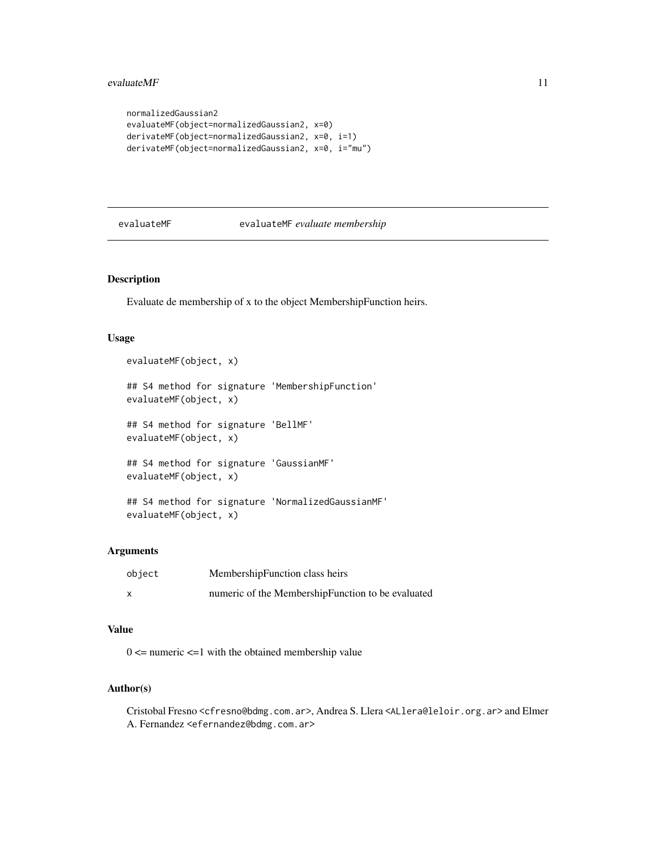```
normalizedGaussian2
evaluateMF(object=normalizedGaussian2, x=0)
derivateMF(object=normalizedGaussian2, x=0, i=1)
derivateMF(object=normalizedGaussian2, x=0, i="mu")
```
## <span id="page-10-1"></span>evaluateMF evaluateMF *evaluate membership*

## <span id="page-10-2"></span>Description

Evaluate de membership of x to the object MembershipFunction heirs.

#### Usage

```
evaluateMF(object, x)
## S4 method for signature 'MembershipFunction'
evaluateMF(object, x)
## S4 method for signature 'BellMF'
evaluateMF(object, x)
## S4 method for signature 'GaussianMF'
evaluateMF(object, x)
## S4 method for signature 'NormalizedGaussianMF'
evaluateMF(object, x)
```
## Arguments

| object | MembershipFunction class heirs                    |
|--------|---------------------------------------------------|
| x      | numeric of the MembershipFunction to be evaluated |

## Value

 $0 \le$  numeric  $\le$  1 with the obtained membership value

## Author(s)

Cristobal Fresno <cfresno@bdmg.com.ar>, Andrea S. Llera <ALlera@leloir.org.ar> and Elmer A. Fernandez <efernandez@bdmg.com.ar>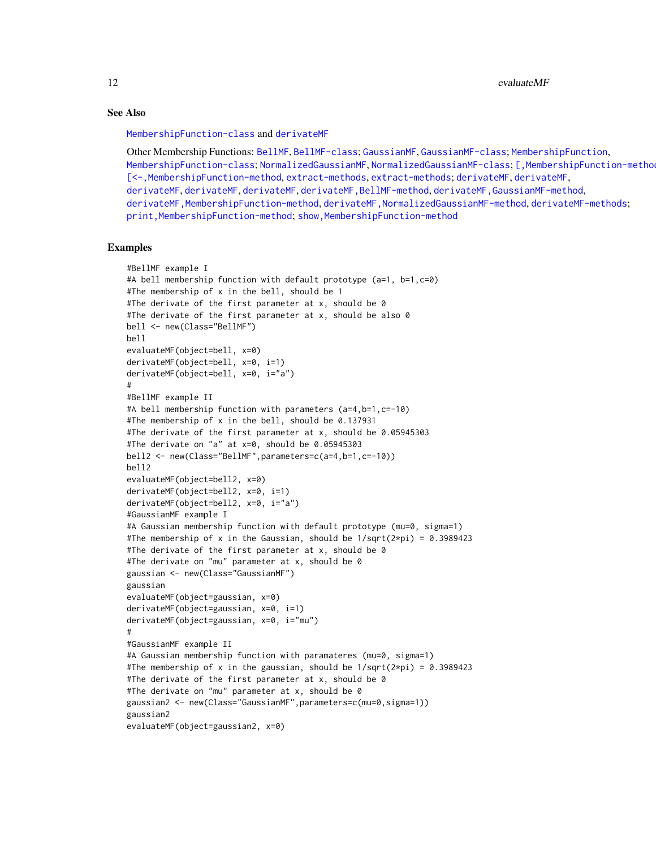12 evaluateMF

## See Also

[MembershipFunction-class](#page-20-2) and [derivateMF](#page-7-1)

Other Membership Functions: [BellMF](#page-6-2), [BellMF-class](#page-6-1); [GaussianMF](#page-14-2), [GaussianMF-class](#page-14-1); [MembershipFunction](#page-20-1), [MembershipFunction-class](#page-20-2); [NormalizedGaussianMF](#page-21-2), [NormalizedGaussianMF-class](#page-21-1); [, MembershipFunction-metho [\[<-,MembershipFunction-method](#page-0-0), [extract-methods](#page-12-1), [extract-methods](#page-12-1); [derivateMF](#page-7-1), [derivateMF](#page-7-1), [derivateMF](#page-7-1), [derivateMF](#page-7-1), [derivateMF](#page-7-1), [derivateMF,BellMF-method](#page-0-0), [derivateMF,GaussianMF-method](#page-0-0), [derivateMF,MembershipFunction-method](#page-0-0), [derivateMF,NormalizedGaussianMF-method](#page-0-0), [derivateMF-methods](#page-7-2); [print,MembershipFunction-method](#page-0-0); [show,MembershipFunction-method](#page-0-0)

## Examples

```
#BellMF example I
#A bell membership function with default prototype (a=1, b=1,c=0)
#The membership of x in the bell, should be 1
#The derivate of the first parameter at x, should be 0
#The derivate of the first parameter at x, should be also 0
bell <- new(Class="BellMF")
bell
evaluateMF(object=bell, x=0)
derivateMF(object=bell, x=0, i=1)
derivateMF(object=bell, x=0, i="a")
#
#BellMF example II
#A bell membership function with parameters (a=4,b=1,c=-10)
#The membership of x in the bell, should be 0.137931
#The derivate of the first parameter at x, should be 0.05945303
#The derivate on "a" at x=0, should be 0.05945303
bell2 <- new(Class="BellMF",parameters=c(a=4,b=1,c=-10))
bell2
evaluateMF(object=bell2, x=0)
derivateMF(object=bell2, x=0, i=1)
derivateMF(object=bell2, x=0, i="a")
#GaussianMF example I
#A Gaussian membership function with default prototype (mu=0, sigma=1)
#The membership of x in the Gaussian, should be 1/\sqrt{2\pi} = 0.3989423
#The derivate of the first parameter at x, should be 0
#The derivate on "mu" parameter at x, should be 0
gaussian <- new(Class="GaussianMF")
gaussian
evaluateMF(object=gaussian, x=0)
derivateMF(object=gaussian, x=0, i=1)
derivateMF(object=gaussian, x=0, i="mu")
#
#GaussianMF example II
#A Gaussian membership function with paramateres (mu=0, sigma=1)
#The membership of x in the gaussian, should be 1/sqrt(2*pi) = 0.3989423
#The derivate of the first parameter at x, should be 0
#The derivate on "mu" parameter at x, should be 0
gaussian2 <- new(Class="GaussianMF",parameters=c(mu=0,sigma=1))
gaussian2
evaluateMF(object=gaussian2, x=0)
```
<span id="page-11-0"></span>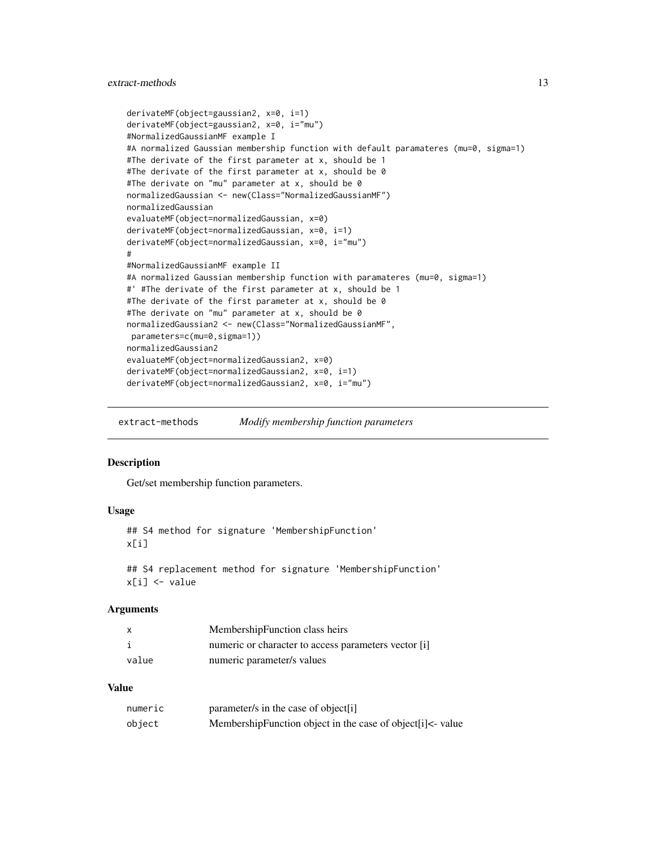## <span id="page-12-0"></span>extract-methods 13

```
derivateMF(object=gaussian2, x=0, i=1)
derivateMF(object=gaussian2, x=0, i="mu")
#NormalizedGaussianMF example I
#A normalized Gaussian membership function with default paramateres (mu=0, sigma=1)
#The derivate of the first parameter at x, should be 1
#The derivate of the first parameter at x, should be 0
#The derivate on "mu" parameter at x, should be 0
normalizedGaussian <- new(Class="NormalizedGaussianMF")
normalizedGaussian
evaluateMF(object=normalizedGaussian, x=0)
derivateMF(object=normalizedGaussian, x=0, i=1)
derivateMF(object=normalizedGaussian, x=0, i="mu")
#
#NormalizedGaussianMF example II
#A normalized Gaussian membership function with paramateres (mu=0, sigma=1)
#' #The derivate of the first parameter at x, should be 1
#The derivate of the first parameter at x, should be 0
#The derivate on "mu" parameter at x, should be 0
normalizedGaussian2 <- new(Class="NormalizedGaussianMF",
parameters=c(mu=0,sigma=1))
normalizedGaussian2
evaluateMF(object=normalizedGaussian2, x=0)
derivateMF(object=normalizedGaussian2, x=0, i=1)
derivateMF(object=normalizedGaussian2, x=0, i="mu")
```
<span id="page-12-1"></span>extract-methods *Modify membership function parameters*

#### Description

Get/set membership function parameters.

#### Usage

```
## S4 method for signature 'MembershipFunction'
x[i]
## S4 replacement method for signature 'MembershipFunction'
```

```
x[i] <- value
```
#### **Arguments**

| X     | MembershipFunction class heirs                       |
|-------|------------------------------------------------------|
|       | numeric or character to access parameters vector [i] |
| value | numeric parameter/s values                           |

## Value

| numeric | parameter/s in the case of object[i]                            |
|---------|-----------------------------------------------------------------|
| object  | Membership Function object in the case of object $[i] <$ -value |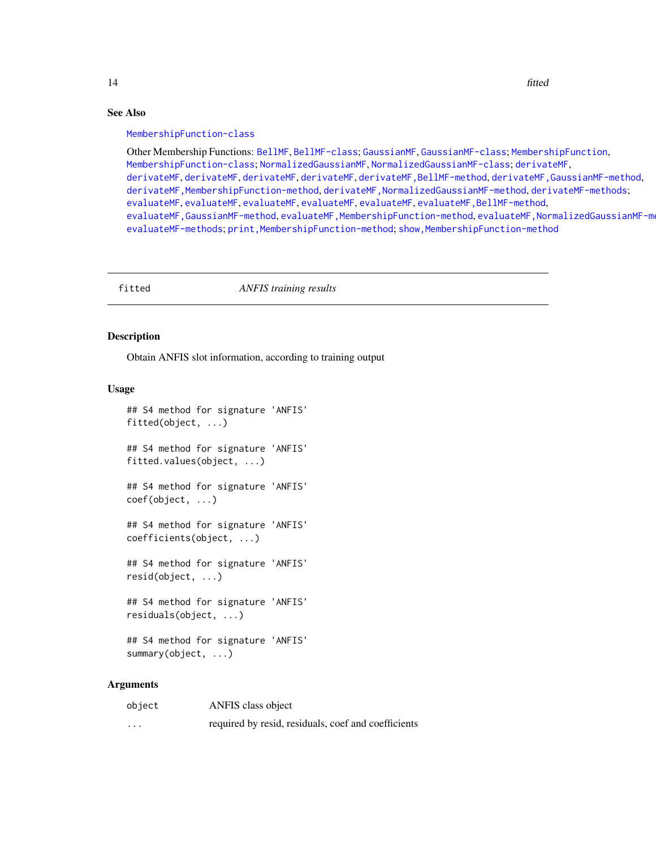## See Also

#### [MembershipFunction-class](#page-20-2)

Other Membership Functions: [BellMF](#page-6-2), [BellMF-class](#page-6-1); [GaussianMF](#page-14-2), [GaussianMF-class](#page-14-1); [MembershipFunction](#page-20-1), [MembershipFunction-class](#page-20-2); [NormalizedGaussianMF](#page-21-2), [NormalizedGaussianMF-class](#page-21-1); [derivateMF](#page-7-1), [derivateMF](#page-7-1), [derivateMF](#page-7-1), [derivateMF](#page-7-1), [derivateMF](#page-7-1), [derivateMF,BellMF-method](#page-0-0), [derivateMF,GaussianMF-method](#page-0-0), [derivateMF,MembershipFunction-method](#page-0-0), [derivateMF,NormalizedGaussianMF-method](#page-0-0), [derivateMF-methods](#page-7-2); [evaluateMF](#page-10-1), [evaluateMF](#page-10-1), [evaluateMF](#page-10-1), [evaluateMF](#page-10-1), [evaluateMF](#page-10-1), [evaluateMF,BellMF-method](#page-0-0), [evaluateMF,GaussianMF-method](#page-0-0), [evaluateMF,MembershipFunction-method](#page-0-0), [evaluateMF,NormalizedGaussianMF-method](#page-0-0), [evaluateMF-methods](#page-10-2); [print,MembershipFunction-method](#page-0-0); [show,MembershipFunction-method](#page-0-0)

<span id="page-13-2"></span>fitted *ANFIS training results*

### <span id="page-13-1"></span>Description

Obtain ANFIS slot information, according to training output

## Usage

```
## S4 method for signature 'ANFIS'
fitted(object, ...)
## S4 method for signature 'ANFIS'
fitted.values(object, ...)
## S4 method for signature 'ANFIS'
coef(object, ...)
## S4 method for signature 'ANFIS'
coefficients(object, ...)
## S4 method for signature 'ANFIS'
resid(object, ...)
## S4 method for signature 'ANFIS'
residuals(object, ...)
## S4 method for signature 'ANFIS'
summary(object, ...)
```
## Arguments

| object   | ANFIS class object                                   |
|----------|------------------------------------------------------|
| $\cdots$ | required by reside, residuals, coef and coefficients |

<span id="page-13-0"></span>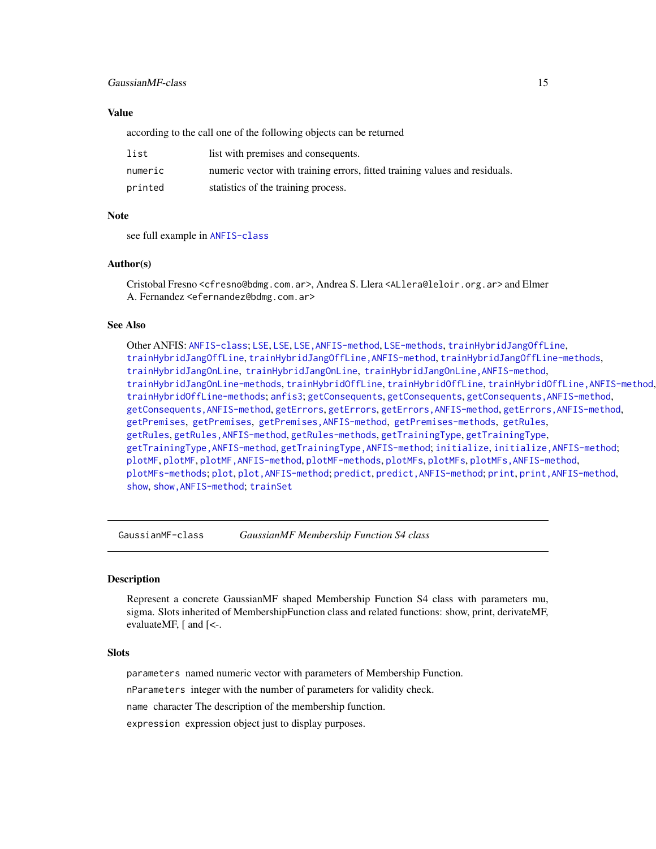## <span id="page-14-0"></span>GaussianMF-class 15

## Value

according to the call one of the following objects can be returned

| list    | list with premises and consequents.                                        |
|---------|----------------------------------------------------------------------------|
| numeric | numeric vector with training errors, fitted training values and residuals. |
| printed | statistics of the training process.                                        |

#### Note

see full example in [ANFIS-class](#page-2-1)

#### Author(s)

Cristobal Fresno <cfresno@bdmg.com.ar>, Andrea S. Llera <ALlera@leloir.org.ar> and Elmer A. Fernandez <efernandez@bdmg.com.ar>

## See Also

Other ANFIS: [ANFIS-class](#page-2-1); [LSE](#page-18-1), [LSE](#page-18-1), [LSE,ANFIS-method](#page-0-0), [LSE-methods](#page-18-2), [trainHybridJangOffLine](#page-18-2), [trainHybridJangOffLine](#page-18-2), [trainHybridJangOffLine,ANFIS-method](#page-0-0), [trainHybridJangOffLine-methods](#page-18-2), [trainHybridJangOnLine](#page-18-2), [trainHybridJangOnLine](#page-18-2), [trainHybridJangOnLine,ANFIS-method](#page-0-0), [trainHybridJangOnLine-methods](#page-18-2), [trainHybridOffLine](#page-18-2), trainHybridOffLine, trainHybridOffLine, ANFIS-method, [trainHybridOffLine-methods](#page-18-2); [anfis3](#page-5-1); [getConsequents](#page-16-1), [getConsequents](#page-16-1), [getConsequents,ANFIS-method](#page-0-0), [getConsequents,ANFIS-method](#page-0-0), [getErrors](#page-16-1), [getErrors](#page-16-1), [getErrors,ANFIS-method](#page-0-0), [getErrors,ANFIS-method](#page-0-0), [getPremises](#page-16-1), [getPremises](#page-16-1), [getPremises,ANFIS-method](#page-0-0), [getPremises-methods](#page-16-1), [getRules](#page-16-2), [getRules](#page-16-2), [getRules,ANFIS-method](#page-0-0), [getRules-methods](#page-16-1), [getTrainingType](#page-16-1), [getTrainingType](#page-16-1), [getTrainingType,ANFIS-method](#page-0-0), [getTrainingType,ANFIS-method](#page-0-0); [initialize](#page-17-1), [initialize,ANFIS-method](#page-0-0); [plotMF](#page-23-1), [plotMF](#page-23-1), [plotMF,ANFIS-method](#page-0-0), [plotMF-methods](#page-23-2), [plotMFs](#page-23-2), [plotMFs](#page-23-2), [plotMFs,ANFIS-method](#page-0-0), [plotMFs-methods](#page-23-2); [plot](#page-22-1), plot, ANFIS-method; [predict](#page-25-1), predict, ANFIS-method; [print](#page-26-1), print, ANFIS-method, [show](#page-26-2), [show,ANFIS-method](#page-0-0); [trainSet](#page-29-1)

<span id="page-14-1"></span>GaussianMF-class *GaussianMF Membership Function S4 class*

## <span id="page-14-2"></span>Description

Represent a concrete GaussianMF shaped Membership Function S4 class with parameters mu, sigma. Slots inherited of MembershipFunction class and related functions: show, print, derivateMF, evaluateMF, [ and [<-.

#### Slots

parameters named numeric vector with parameters of Membership Function.

nParameters integer with the number of parameters for validity check.

name character The description of the membership function.

expression expression object just to display purposes.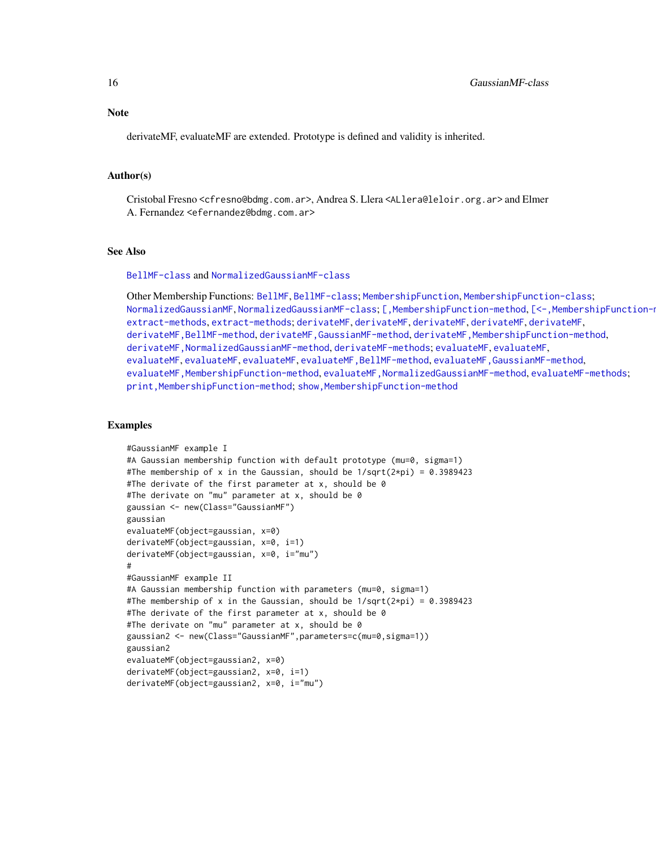<span id="page-15-0"></span>

derivateMF, evaluateMF are extended. Prototype is defined and validity is inherited.

#### Author(s)

Cristobal Fresno <cfresno@bdmg.com.ar>, Andrea S. Llera <ALlera@leloir.org.ar> and Elmer A. Fernandez <efernandez@bdmg.com.ar>

#### See Also

#### [BellMF-class](#page-6-1) and [NormalizedGaussianMF-class](#page-21-1)

Other Membership Functions: [BellMF](#page-6-2), [BellMF-class](#page-6-1); [MembershipFunction](#page-20-1), [MembershipFunction-class](#page-20-2); [NormalizedGaussianMF](#page-21-2), [NormalizedGaussianMF-class](#page-21-1); [\[,MembershipFunction-method](#page-0-0), [\[<-,MembershipFunction-method](#page-0-0), [extract-methods](#page-12-1), [extract-methods](#page-12-1); [derivateMF](#page-7-1), [derivateMF](#page-7-1), [derivateMF](#page-7-1), [derivateMF](#page-7-1), [derivateMF](#page-7-1), [derivateMF,BellMF-method](#page-0-0), [derivateMF,GaussianMF-method](#page-0-0), [derivateMF,MembershipFunction-method](#page-0-0), [derivateMF,NormalizedGaussianMF-method](#page-0-0), [derivateMF-methods](#page-7-2); [evaluateMF](#page-10-1), [evaluateMF](#page-10-1), [evaluateMF](#page-10-1), [evaluateMF](#page-10-1), [evaluateMF](#page-10-1), [evaluateMF,BellMF-method](#page-0-0), [evaluateMF,GaussianMF-method](#page-0-0), [evaluateMF,MembershipFunction-method](#page-0-0), [evaluateMF,NormalizedGaussianMF-method](#page-0-0), [evaluateMF-methods](#page-10-2); print, MembershipFunction-method; show, MembershipFunction-method

#### Examples

```
#GaussianMF example I
#A Gaussian membership function with default prototype (mu=0, sigma=1)
#The membership of x in the Gaussian, should be 1/sqrt(2*pi) = 0.3989423
#The derivate of the first parameter at x, should be 0
#The derivate on "mu" parameter at x, should be 0
gaussian <- new(Class="GaussianMF")
gaussian
evaluateMF(object=gaussian, x=0)
derivateMF(object=gaussian, x=0, i=1)
derivateMF(object=gaussian, x=0, i="mu")
#
#GaussianMF example II
#A Gaussian membership function with parameters (mu=0, sigma=1)
#The membership of x in the Gaussian, should be 1/sqrt(2*pi) = 0.3989423
#The derivate of the first parameter at x, should be 0
#The derivate on "mu" parameter at x, should be 0
gaussian2 <- new(Class="GaussianMF",parameters=c(mu=0,sigma=1))
gaussian2
evaluateMF(object=gaussian2, x=0)
derivateMF(object=gaussian2, x=0, i=1)
derivateMF(object=gaussian2, x=0, i="mu")
```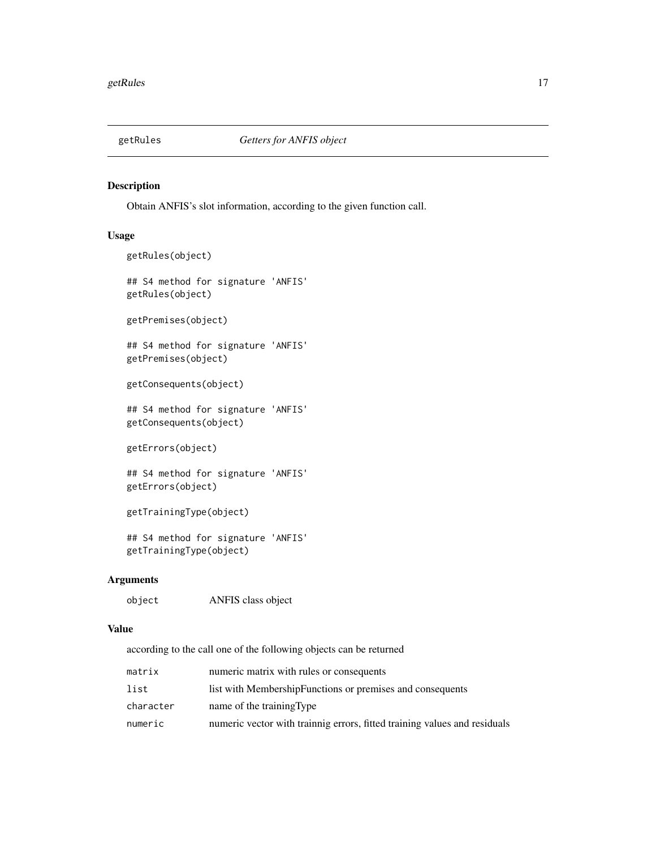<span id="page-16-2"></span><span id="page-16-0"></span>

## <span id="page-16-1"></span>Description

Obtain ANFIS's slot information, according to the given function call.

## Usage

```
getRules(object)
## S4 method for signature 'ANFIS'
getRules(object)
getPremises(object)
## S4 method for signature 'ANFIS'
getPremises(object)
getConsequents(object)
## S4 method for signature 'ANFIS'
getConsequents(object)
getErrors(object)
## S4 method for signature 'ANFIS'
getErrors(object)
getTrainingType(object)
## S4 method for signature 'ANFIS'
getTrainingType(object)
```
#### Arguments

object ANFIS class object

## Value

according to the call one of the following objects can be returned

| matrix    | numeric matrix with rules or consequents                                  |
|-----------|---------------------------------------------------------------------------|
| list      | list with MembershipFunctions or premises and consequents                 |
| character | name of the training Type                                                 |
| numeric   | numeric vector with training errors, fitted training values and residuals |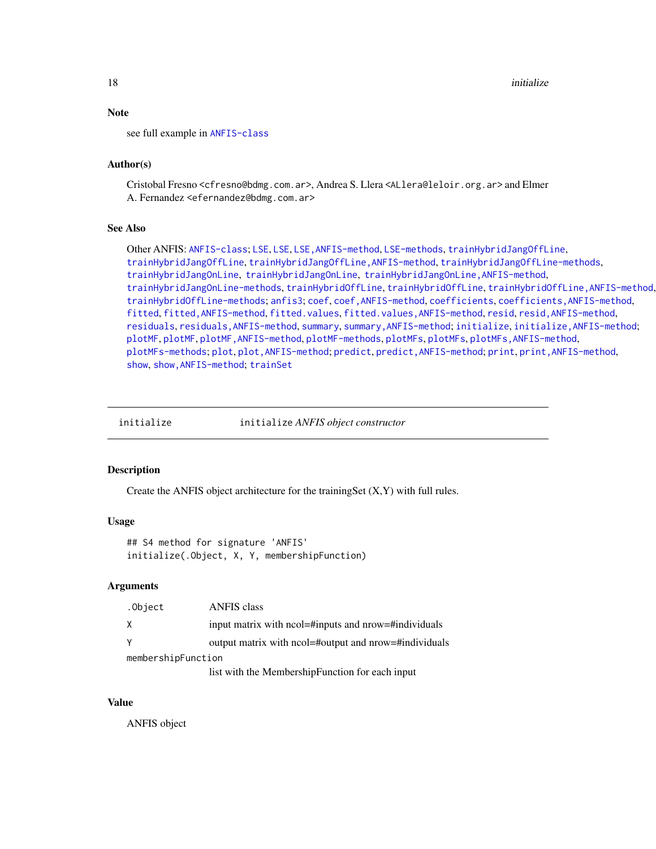## Note

see full example in [ANFIS-class](#page-2-1)

## Author(s)

Cristobal Fresno <cfresno@bdmg.com.ar>, Andrea S. Llera <ALlera@leloir.org.ar> and Elmer A. Fernandez <efernandez@bdmg.com.ar>

## See Also

Other ANFIS: [ANFIS-class](#page-2-1); [LSE](#page-18-1), LSE, LSE, ANFIS-method, [LSE-methods](#page-18-2), [trainHybridJangOffLine](#page-18-2), [trainHybridJangOffLine](#page-18-2), [trainHybridJangOffLine,ANFIS-method](#page-0-0), [trainHybridJangOffLine-methods](#page-18-2), [trainHybridJangOnLine](#page-18-2), [trainHybridJangOnLine](#page-18-2), [trainHybridJangOnLine,ANFIS-method](#page-0-0), [trainHybridJangOnLine-methods](#page-18-2), [trainHybridOffLine](#page-18-2), trainHybridOffLine, trainHybridOffLine, ANFIS-method, [trainHybridOffLine-methods](#page-18-2); [anfis3](#page-5-1); [coef](#page-13-1), [coef,ANFIS-method](#page-0-0), [coefficients](#page-13-1), [coefficients,ANFIS-method](#page-0-0), [fitted](#page-13-2), fitted, ANFIS-method, [fitted.values](#page-13-1), fitted.values, ANFIS-method, [resid](#page-13-1), resid, ANFIS-method, [residuals](#page-13-1), [residuals,ANFIS-method](#page-0-0), [summary](#page-13-1), [summary,ANFIS-method](#page-0-0); [initialize](#page-17-1), [initialize,ANFIS-method](#page-0-0); [plotMF](#page-23-1), [plotMF](#page-23-1), [plotMF,ANFIS-method](#page-0-0), [plotMF-methods](#page-23-2), [plotMFs](#page-23-2), [plotMFs](#page-23-2), [plotMFs,ANFIS-method](#page-0-0), [plotMFs-methods](#page-23-2); [plot](#page-22-1), plot, ANFIS-method; [predict](#page-25-1), predict, ANFIS-method; [print](#page-26-1), print, ANFIS-method, [show](#page-26-2), [show,ANFIS-method](#page-0-0); [trainSet](#page-29-1)

<span id="page-17-1"></span>

initialize initialize *ANFIS object constructor*

#### Description

Create the ANFIS object architecture for the trainingSet (X,Y) with full rules.

#### Usage

## S4 method for signature 'ANFIS' initialize(.Object, X, Y, membershipFunction)

#### Arguments

| .Object            | <b>ANFIS</b> class                                    |
|--------------------|-------------------------------------------------------|
| X                  | input matrix with ncol=#inputs and nrow=#individuals  |
| <sup>V</sup>       | output matrix with ncol=#output and nrow=#individuals |
| membershipFunction |                                                       |
|                    | list with the MembershipFunction for each input       |

## Value

ANFIS object

<span id="page-17-0"></span>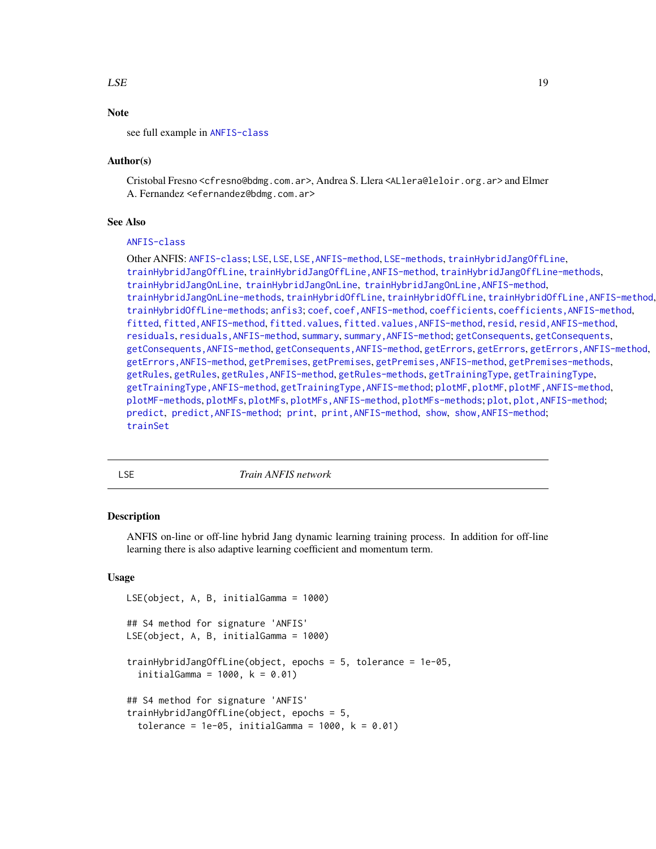#### <span id="page-18-0"></span> $LSE$  19

## Note

## Author(s)

Cristobal Fresno <cfresno@bdmg.com.ar>, Andrea S. Llera <ALlera@leloir.org.ar> and Elmer A. Fernandez <efernandez@bdmg.com.ar>

#### See Also

## [ANFIS-class](#page-2-1)

Other ANFIS: [ANFIS-class](#page-2-1); [LSE](#page-18-1), [LSE](#page-18-1), [LSE,ANFIS-method](#page-0-0), [LSE-methods](#page-18-2), [trainHybridJangOffLine](#page-18-2), [trainHybridJangOffLine](#page-18-2), [trainHybridJangOffLine,ANFIS-method](#page-0-0), [trainHybridJangOffLine-methods](#page-18-2), [trainHybridJangOnLine](#page-18-2), [trainHybridJangOnLine](#page-18-2), [trainHybridJangOnLine,ANFIS-method](#page-0-0), [trainHybridJangOnLine-methods](#page-18-2), [trainHybridOffLine](#page-18-2), trainHybridOffLine, trainHybridOffLine, ANFIS-method, [trainHybridOffLine-methods](#page-18-2); [anfis3](#page-5-1); [coef](#page-13-1), [coef,ANFIS-method](#page-0-0), [coefficients](#page-13-1), [coefficients,ANFIS-method](#page-0-0), [fitted](#page-13-2), fitted, ANFIS-method, [fitted.values](#page-13-1), fitted.values, ANFIS-method, [resid](#page-13-1), resid, ANFIS-method, [residuals](#page-13-1), [residuals,ANFIS-method](#page-0-0), [summary](#page-13-1), [summary,ANFIS-method](#page-0-0); [getConsequents](#page-16-1), [getConsequents](#page-16-1), [getConsequents,ANFIS-method](#page-0-0), [getConsequents,ANFIS-method](#page-0-0), [getErrors](#page-16-1), [getErrors](#page-16-1), [getErrors,ANFIS-method](#page-0-0), [getErrors,ANFIS-method](#page-0-0), [getPremises](#page-16-1), [getPremises](#page-16-1), [getPremises,ANFIS-method](#page-0-0), [getPremises-methods](#page-16-1), [getRules](#page-16-2), [getRules](#page-16-2), [getRules,ANFIS-method](#page-0-0), [getRules-methods](#page-16-1), [getTrainingType](#page-16-1), [getTrainingType](#page-16-1), [getTrainingType,ANFIS-method](#page-0-0), [getTrainingType,ANFIS-method](#page-0-0); [plotMF](#page-23-1), [plotMF](#page-23-1), [plotMF,ANFIS-method](#page-0-0), [plotMF-methods](#page-23-2), [plotMFs](#page-23-2), plotMFs, plotMFs, ANFIS-method, [plotMFs-methods](#page-23-2); [plot](#page-22-1), plot, ANFIS-method; [predict](#page-25-1), [predict,ANFIS-method](#page-0-0); [print](#page-26-1), [print,ANFIS-method](#page-0-0), [show](#page-26-2), [show,ANFIS-method](#page-0-0); [trainSet](#page-29-1)

<span id="page-18-1"></span>

LSE *Train ANFIS network*

#### <span id="page-18-2"></span>Description

ANFIS on-line or off-line hybrid Jang dynamic learning training process. In addition for off-line learning there is also adaptive learning coefficient and momentum term.

## Usage

```
LSE(object, A, B, initialGamma = 1000)
## S4 method for signature 'ANFIS'
LSE(object, A, B, initialGamma = 1000)
trainHybridJangOffLine(object, epochs = 5, tolerance = 1e-05,
  initialGamma = 1000, k = 0.01)
## S4 method for signature 'ANFIS'
trainHybridJangOffLine(object, epochs = 5,
  tolerance = 1e-05, initialGamma = 1000, k = 0.01)
```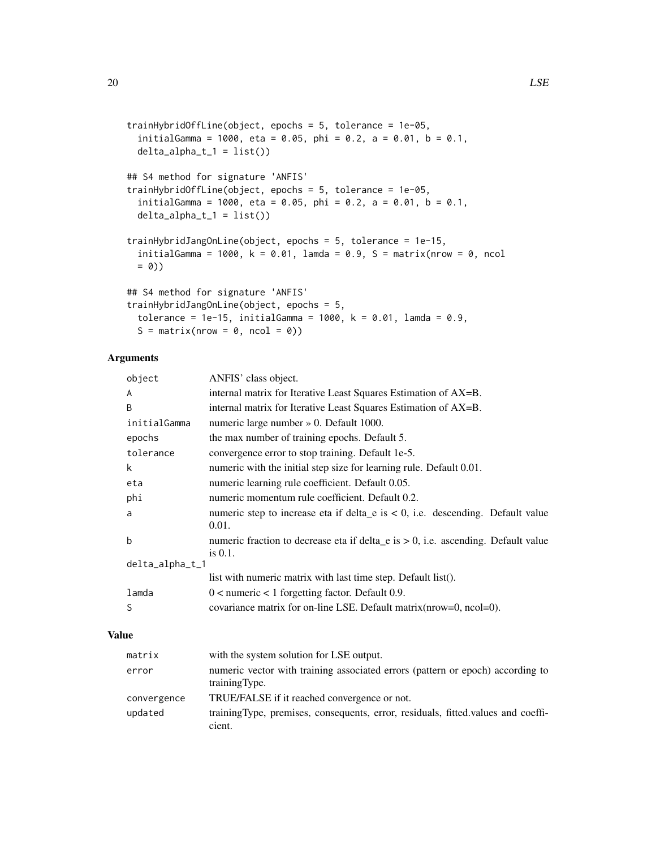```
trainHybridOffLine(object, epochs = 5, tolerance = 1e-05,
  initialGamma = 1000, eta = 0.05, phi = 0.2, a = 0.01, b = 0.1,
 delta\_alpha_t1 = list()## S4 method for signature 'ANFIS'
trainHybridOffLine(object, epochs = 5, tolerance = 1e-05,
  initialGamma = 1000, eta = 0.05, phi = 0.2, a = 0.01, b = 0.1,
  delta_f1 = list()trainHybridJangOnLine(object, epochs = 5, tolerance = 1e-15,
  initialGamma = 1000, k = 0.01, lamda = 0.9, S = matrix(nrow = 0, ncol
 = 0)## S4 method for signature 'ANFIS'
trainHybridJangOnLine(object, epochs = 5,
  tolerance = 1e-15, initialGamma = 1000, k = 0.01, lamda = 0.9,
  S = matrix(nrow = 0, ncol = 0)
```
## Arguments

| object          | ANFIS' class object.                                                                               |
|-----------------|----------------------------------------------------------------------------------------------------|
| A               | internal matrix for Iterative Least Squares Estimation of AX=B.                                    |
| B               | internal matrix for Iterative Least Squares Estimation of AX=B.                                    |
| initialGamma    | numeric large number » 0. Default 1000.                                                            |
| epochs          | the max number of training epochs. Default 5.                                                      |
| tolerance       | convergence error to stop training. Default 1e-5.                                                  |
| k               | numeric with the initial step size for learning rule. Default 0.01.                                |
| eta             | numeric learning rule coefficient. Default 0.05.                                                   |
| phi             | numeric momentum rule coefficient. Default 0.2.                                                    |
| a               | numeric step to increase eta if delta e is $< 0$ , i.e. descending. Default value<br>0.01.         |
| b               | numeric fraction to decrease eta if delta_e is $> 0$ , i.e. ascending. Default value<br>is $0.1$ . |
| delta_alpha_t_1 |                                                                                                    |
|                 | list with numeric matrix with last time step. Default list().                                      |
| lamda           | $0 \le$ numeric $\le$ 1 forgetting factor. Default 0.9.                                            |
| S               | covariance matrix for on-line LSE. Default matrix (nrow=0, ncol=0).                                |
|                 |                                                                                                    |

## Value

| matrix      | with the system solution for LSE output.                                                         |
|-------------|--------------------------------------------------------------------------------------------------|
| error       | numeric vector with training associated errors (pattern or epoch) according to<br>training Type. |
| convergence | TRUE/FALSE if it reached convergence or not.                                                     |
| updated     | training Type, premises, consequents, error, residuals, fitted values and coeffi-<br>cient.      |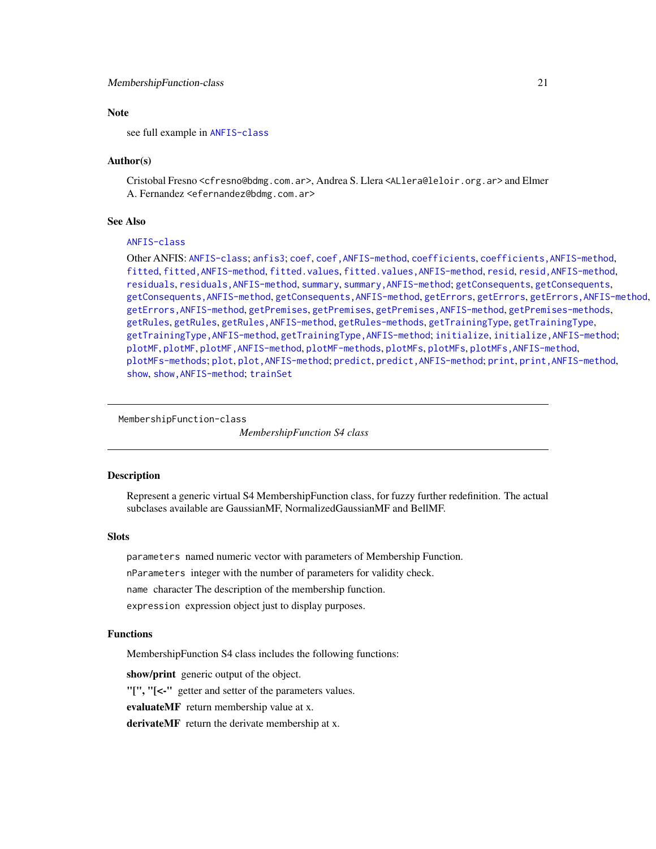#### <span id="page-20-0"></span>MembershipFunction-class 21

## Note

see full example in [ANFIS-class](#page-2-1)

#### Author(s)

Cristobal Fresno <cfresno@bdmg.com.ar>, Andrea S. Llera <ALlera@leloir.org.ar> and Elmer A. Fernandez <efernandez@bdmg.com.ar>

#### See Also

## [ANFIS-class](#page-2-1)

Other ANFIS: [ANFIS-class](#page-2-1); [anfis3](#page-5-1); [coef](#page-13-1), [coef,ANFIS-method](#page-0-0), [coefficients](#page-13-1), [coefficients,ANFIS-method](#page-0-0), [fitted](#page-13-2), fitted, ANFIS-method, [fitted.values](#page-13-1), fitted.values, ANFIS-method, [resid](#page-13-1), resid, ANFIS-method, [residuals](#page-13-1), [residuals,ANFIS-method](#page-0-0), [summary](#page-13-1), [summary,ANFIS-method](#page-0-0); [getConsequents](#page-16-1), [getConsequents](#page-16-1), [getConsequents,ANFIS-method](#page-0-0), [getConsequents,ANFIS-method](#page-0-0), [getErrors](#page-16-1), [getErrors](#page-16-1), [getErrors,ANFIS-method](#page-0-0), [getErrors,ANFIS-method](#page-0-0), [getPremises](#page-16-1), [getPremises](#page-16-1), [getPremises,ANFIS-method](#page-0-0), [getPremises-methods](#page-16-1), [getRules](#page-16-2), [getRules](#page-16-2), [getRules,ANFIS-method](#page-0-0), [getRules-methods](#page-16-1), [getTrainingType](#page-16-1), [getTrainingType](#page-16-1), [getTrainingType,ANFIS-method](#page-0-0), [getTrainingType,ANFIS-method](#page-0-0); [initialize](#page-17-1), [initialize,ANFIS-method](#page-0-0); [plotMF](#page-23-1), [plotMF](#page-23-1), [plotMF,ANFIS-method](#page-0-0), [plotMF-methods](#page-23-2), [plotMFs](#page-23-2), [plotMFs](#page-23-2), [plotMFs,ANFIS-method](#page-0-0), [plotMFs-methods](#page-23-2); [plot](#page-22-1), [plot,ANFIS-method](#page-0-0); [predict](#page-25-1), [predict,ANFIS-method](#page-0-0); [print](#page-26-1), [print,ANFIS-method](#page-0-0), [show](#page-26-2), [show,ANFIS-method](#page-0-0); [trainSet](#page-29-1)

#### <span id="page-20-2"></span>MembershipFunction-class

*MembershipFunction S4 class*

#### <span id="page-20-1"></span>Description

Represent a generic virtual S4 MembershipFunction class, for fuzzy further redefinition. The actual subclases available are GaussianMF, NormalizedGaussianMF and BellMF.

## **Slots**

parameters named numeric vector with parameters of Membership Function.

nParameters integer with the number of parameters for validity check.

name character The description of the membership function.

expression expression object just to display purposes.

## Functions

MembershipFunction S4 class includes the following functions:

show/print generic output of the object.

"[", "[<-" getter and setter of the parameters values.

evaluateMF return membership value at x.

derivateMF return the derivate membership at x.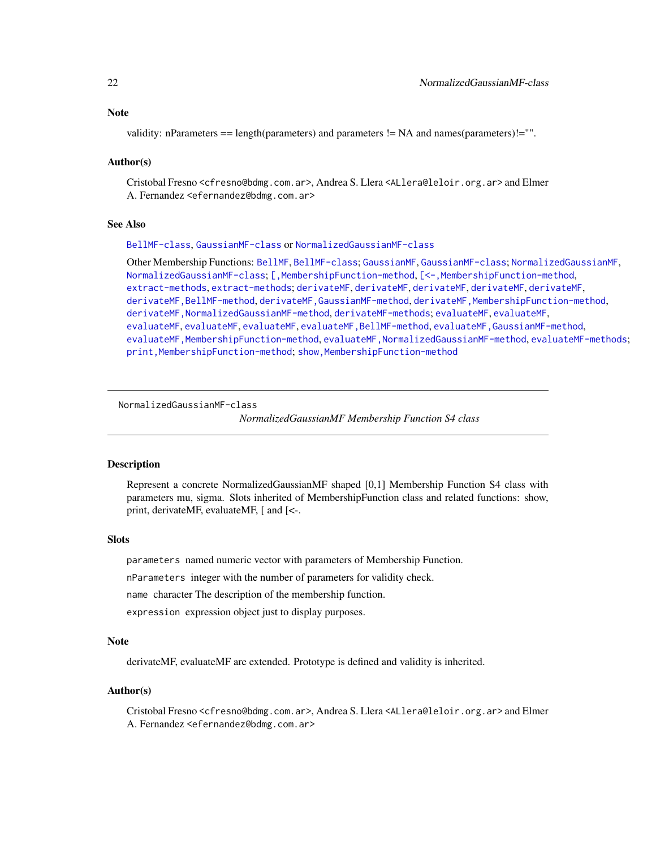## <span id="page-21-0"></span>Note

validity: nParameters == length(parameters) and parameters != NA and names(parameters)!="".

## Author(s)

Cristobal Fresno <cfresno@bdmg.com.ar>, Andrea S. Llera <ALlera@leloir.org.ar> and Elmer A. Fernandez <efernandez@bdmg.com.ar>

## See Also

#### [BellMF-class](#page-6-1), [GaussianMF-class](#page-14-1) or [NormalizedGaussianMF-class](#page-21-1)

Other Membership Functions: [BellMF](#page-6-2), [BellMF-class](#page-6-1); [GaussianMF](#page-14-2), [GaussianMF-class](#page-14-1); [NormalizedGaussianMF](#page-21-2), [NormalizedGaussianMF-class](#page-21-1); [\[,MembershipFunction-method](#page-0-0), [\[<-,MembershipFunction-method](#page-0-0), [extract-methods](#page-12-1), [extract-methods](#page-12-1); [derivateMF](#page-7-1), [derivateMF](#page-7-1), [derivateMF](#page-7-1), [derivateMF](#page-7-1), [derivateMF](#page-7-1), [derivateMF,BellMF-method](#page-0-0), [derivateMF,GaussianMF-method](#page-0-0), [derivateMF,MembershipFunction-method](#page-0-0), [derivateMF,NormalizedGaussianMF-method](#page-0-0), [derivateMF-methods](#page-7-2); [evaluateMF](#page-10-1), [evaluateMF](#page-10-1), [evaluateMF](#page-10-1), [evaluateMF](#page-10-1), [evaluateMF](#page-10-1), [evaluateMF,BellMF-method](#page-0-0), [evaluateMF,GaussianMF-method](#page-0-0), [evaluateMF,MembershipFunction-method](#page-0-0), [evaluateMF,NormalizedGaussianMF-method](#page-0-0), [evaluateMF-methods](#page-10-2); [print,MembershipFunction-method](#page-0-0); [show,MembershipFunction-method](#page-0-0)

<span id="page-21-1"></span>NormalizedGaussianMF-class

*NormalizedGaussianMF Membership Function S4 class*

#### <span id="page-21-2"></span>**Description**

Represent a concrete NormalizedGaussianMF shaped [0,1] Membership Function S4 class with parameters mu, sigma. Slots inherited of MembershipFunction class and related functions: show, print, derivateMF, evaluateMF, [ and [<-.

#### Slots

parameters named numeric vector with parameters of Membership Function.

nParameters integer with the number of parameters for validity check.

name character The description of the membership function.

expression expression object just to display purposes.

#### Note

derivateMF, evaluateMF are extended. Prototype is defined and validity is inherited.

#### Author(s)

Cristobal Fresno <cfresno@bdmg.com.ar>, Andrea S. Llera <ALlera@leloir.org.ar> and Elmer A. Fernandez <efernandez@bdmg.com.ar>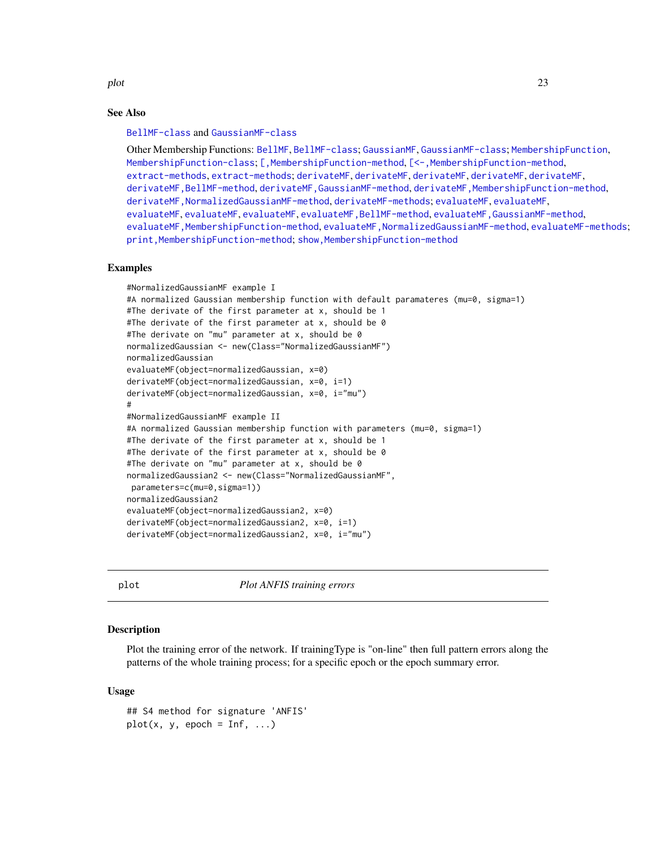<span id="page-22-0"></span>plot the contract of the contract of the contract of the contract of the contract of the contract of the contract of the contract of the contract of the contract of the contract of the contract of the contract of the contr

## See Also

[BellMF-class](#page-6-1) and [GaussianMF-class](#page-14-1)

Other Membership Functions: [BellMF](#page-6-2), [BellMF-class](#page-6-1); [GaussianMF](#page-14-2), [GaussianMF-class](#page-14-1); [MembershipFunction](#page-20-1), [MembershipFunction-class](#page-20-2); [\[,MembershipFunction-method](#page-0-0), [\[<-,MembershipFunction-method](#page-0-0), [extract-methods](#page-12-1), [extract-methods](#page-12-1); [derivateMF](#page-7-1), [derivateMF](#page-7-1), [derivateMF](#page-7-1), [derivateMF](#page-7-1), [derivateMF](#page-7-1), [derivateMF,BellMF-method](#page-0-0), [derivateMF,GaussianMF-method](#page-0-0), [derivateMF,MembershipFunction-method](#page-0-0), [derivateMF,NormalizedGaussianMF-method](#page-0-0), [derivateMF-methods](#page-7-2); [evaluateMF](#page-10-1), [evaluateMF](#page-10-1), [evaluateMF](#page-10-1), [evaluateMF](#page-10-1), [evaluateMF](#page-10-1), [evaluateMF,BellMF-method](#page-0-0), [evaluateMF,GaussianMF-method](#page-0-0), [evaluateMF,MembershipFunction-method](#page-0-0), [evaluateMF,NormalizedGaussianMF-method](#page-0-0), [evaluateMF-methods](#page-10-2); [print,MembershipFunction-method](#page-0-0); [show,MembershipFunction-method](#page-0-0)

#### Examples

```
#NormalizedGaussianMF example I
#A normalized Gaussian membership function with default paramateres (mu=0, sigma=1)
#The derivate of the first parameter at x, should be 1
#The derivate of the first parameter at x, should be 0
#The derivate on "mu" parameter at x, should be 0
normalizedGaussian <- new(Class="NormalizedGaussianMF")
normalizedGaussian
evaluateMF(object=normalizedGaussian, x=0)
derivateMF(object=normalizedGaussian, x=0, i=1)
derivateMF(object=normalizedGaussian, x=0, i="mu")
#
#NormalizedGaussianMF example II
#A normalized Gaussian membership function with parameters (mu=0, sigma=1)
#The derivate of the first parameter at x, should be 1
#The derivate of the first parameter at x, should be 0
#The derivate on "mu" parameter at x, should be 0
normalizedGaussian2 <- new(Class="NormalizedGaussianMF",
parameters=c(mu=0,sigma=1))
normalizedGaussian2
evaluateMF(object=normalizedGaussian2, x=0)
derivateMF(object=normalizedGaussian2, x=0, i=1)
derivateMF(object=normalizedGaussian2, x=0, i="mu")
```
<span id="page-22-1"></span>

plot *Plot ANFIS training errors*

## Description

Plot the training error of the network. If trainingType is "on-line" then full pattern errors along the patterns of the whole training process; for a specific epoch or the epoch summary error.

## Usage

```
## S4 method for signature 'ANFIS'
plot(x, y, epoch = Inf, ...)
```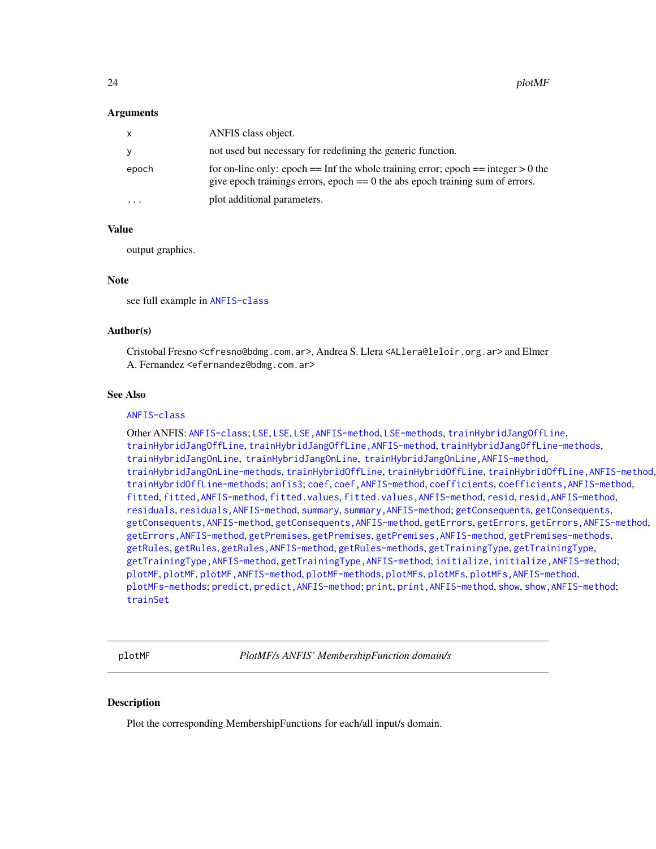#### <span id="page-23-0"></span>Arguments

| X                       | ANFIS class object.                                                                                                                                                        |
|-------------------------|----------------------------------------------------------------------------------------------------------------------------------------------------------------------------|
| <b>Y</b>                | not used but necessary for redefining the generic function.                                                                                                                |
| epoch                   | for on-line only: epoch $==$ Inf the whole training error; epoch $==$ integer $> 0$ the<br>give epoch trainings errors, epoch $== 0$ the abs epoch training sum of errors. |
| $\cdot$ $\cdot$ $\cdot$ | plot additional parameters.                                                                                                                                                |

## Value

output graphics.

#### Note

see full example in [ANFIS-class](#page-2-1)

## Author(s)

Cristobal Fresno <cfresno@bdmg.com.ar>, Andrea S. Llera <ALlera@leloir.org.ar> and Elmer A. Fernandez <efernandez@bdmg.com.ar>

## See Also

#### [ANFIS-class](#page-2-1)

Other ANFIS: [ANFIS-class](#page-2-1); [LSE](#page-18-1), [LSE](#page-18-1), [LSE,ANFIS-method](#page-0-0), [LSE-methods](#page-18-2), [trainHybridJangOffLine](#page-18-2), [trainHybridJangOffLine](#page-18-2), [trainHybridJangOffLine,ANFIS-method](#page-0-0), [trainHybridJangOffLine-methods](#page-18-2), [trainHybridJangOnLine](#page-18-2), [trainHybridJangOnLine](#page-18-2), [trainHybridJangOnLine,ANFIS-method](#page-0-0), [trainHybridJangOnLine-methods](#page-18-2), [trainHybridOffLine](#page-18-2), trainHybridOffLine, trainHybridOffLine, ANFIS-method, [trainHybridOffLine-methods](#page-18-2); [anfis3](#page-5-1); [coef](#page-13-1), [coef,ANFIS-method](#page-0-0), [coefficients](#page-13-1), [coefficients,ANFIS-method](#page-0-0), [fitted](#page-13-2), fitted, ANFIS-method, [fitted.values](#page-13-1), fitted.values, ANFIS-method, [resid](#page-13-1), resid, ANFIS-method, [residuals](#page-13-1), [residuals,ANFIS-method](#page-0-0), [summary](#page-13-1), [summary,ANFIS-method](#page-0-0); [getConsequents](#page-16-1), [getConsequents](#page-16-1), [getConsequents,ANFIS-method](#page-0-0), [getConsequents,ANFIS-method](#page-0-0), [getErrors](#page-16-1), [getErrors](#page-16-1), [getErrors,ANFIS-method](#page-0-0), [getErrors,ANFIS-method](#page-0-0), [getPremises](#page-16-1), [getPremises](#page-16-1), [getPremises,ANFIS-method](#page-0-0), [getPremises-methods](#page-16-1), [getRules](#page-16-2), [getRules](#page-16-2), [getRules,ANFIS-method](#page-0-0), [getRules-methods](#page-16-1), [getTrainingType](#page-16-1), [getTrainingType](#page-16-1), [getTrainingType,ANFIS-method](#page-0-0), [getTrainingType,ANFIS-method](#page-0-0); [initialize](#page-17-1), [initialize,ANFIS-method](#page-0-0); [plotMF](#page-23-1), [plotMF](#page-23-1), [plotMF,ANFIS-method](#page-0-0), [plotMF-methods](#page-23-2), [plotMFs](#page-23-2), [plotMFs](#page-23-2), [plotMFs,ANFIS-method](#page-0-0), [plotMFs-methods](#page-23-2); [predict](#page-25-1), [predict,ANFIS-method](#page-0-0); [print](#page-26-1), [print,ANFIS-method](#page-0-0), [show](#page-26-2), [show,ANFIS-method](#page-0-0); [trainSet](#page-29-1)

<span id="page-23-1"></span>plotMF *PlotMF/s ANFIS' MembershipFunction domain/s*

#### <span id="page-23-2"></span>Description

Plot the corresponding MembershipFunctions for each/all input/s domain.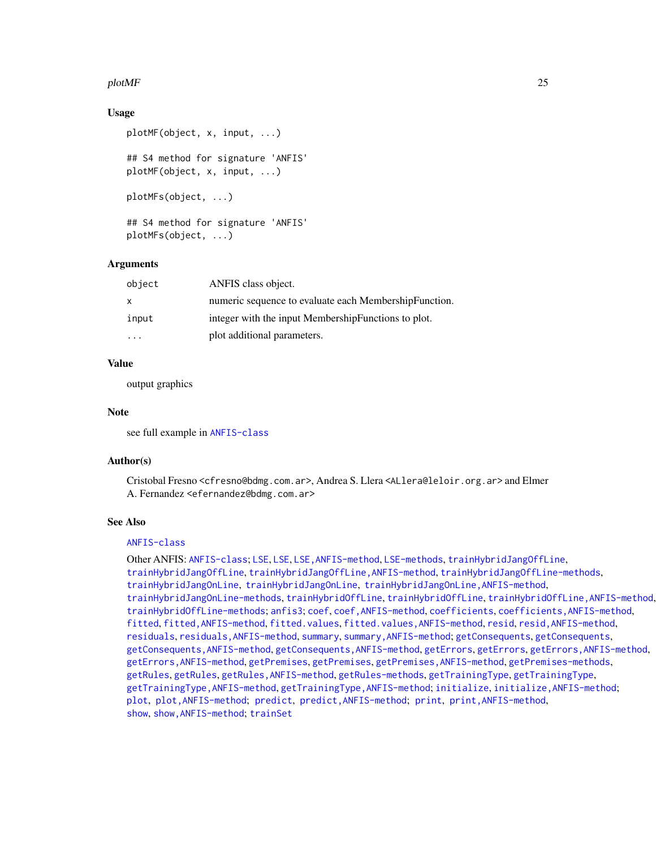## <span id="page-24-0"></span> $p$ lotMF 25

## Usage

```
plotMF(object, x, input, ...)
## S4 method for signature 'ANFIS'
plotMF(object, x, input, ...)
plotMFs(object, ...)
## S4 method for signature 'ANFIS'
plotMFs(object, ...)
```
## Arguments

| object | ANFIS class object.                                   |
|--------|-------------------------------------------------------|
| x      | numeric sequence to evaluate each MembershipFunction. |
| input  | integer with the input Membership Functions to plot.  |
|        | plot additional parameters.                           |

## Value

output graphics

#### Note

see full example in [ANFIS-class](#page-2-1)

#### Author(s)

Cristobal Fresno <cfresno@bdmg.com.ar>, Andrea S. Llera <ALlera@leloir.org.ar> and Elmer A. Fernandez <efernandez@bdmg.com.ar>

#### See Also

## [ANFIS-class](#page-2-1)

Other ANFIS: [ANFIS-class](#page-2-1); [LSE](#page-18-1), [LSE](#page-18-1), [LSE,ANFIS-method](#page-0-0), [LSE-methods](#page-18-2), [trainHybridJangOffLine](#page-18-2), [trainHybridJangOffLine](#page-18-2), [trainHybridJangOffLine,ANFIS-method](#page-0-0), [trainHybridJangOffLine-methods](#page-18-2), [trainHybridJangOnLine](#page-18-2), [trainHybridJangOnLine](#page-18-2), [trainHybridJangOnLine,ANFIS-method](#page-0-0), [trainHybridJangOnLine-methods](#page-18-2), [trainHybridOffLine](#page-18-2), trainHybridOffLine, trainHybridOffLine, ANFIS-method, [trainHybridOffLine-methods](#page-18-2); [anfis3](#page-5-1); [coef](#page-13-1), [coef,ANFIS-method](#page-0-0), [coefficients](#page-13-1), [coefficients,ANFIS-method](#page-0-0), [fitted](#page-13-2), fitted, ANFIS-method, [fitted.values](#page-13-1), fitted.values, ANFIS-method, [resid](#page-13-1), resid, ANFIS-method, [residuals](#page-13-1), [residuals,ANFIS-method](#page-0-0), [summary](#page-13-1), [summary,ANFIS-method](#page-0-0); [getConsequents](#page-16-1), [getConsequents](#page-16-1), [getConsequents,ANFIS-method](#page-0-0), [getConsequents,ANFIS-method](#page-0-0), [getErrors](#page-16-1), [getErrors](#page-16-1), [getErrors,ANFIS-method](#page-0-0), [getErrors,ANFIS-method](#page-0-0), [getPremises](#page-16-1), [getPremises](#page-16-1), [getPremises,ANFIS-method](#page-0-0), [getPremises-methods](#page-16-1), [getRules](#page-16-2), [getRules](#page-16-2), [getRules,ANFIS-method](#page-0-0), [getRules-methods](#page-16-1), [getTrainingType](#page-16-1), [getTrainingType](#page-16-1), [getTrainingType,ANFIS-method](#page-0-0), getTrainingType,ANFIS-method; [initialize](#page-17-1), initialize, ANFIS-method; [plot](#page-22-1), [plot,ANFIS-method](#page-0-0); [predict](#page-25-1), [predict,ANFIS-method](#page-0-0); [print](#page-26-1), [print,ANFIS-method](#page-0-0), [show](#page-26-2), [show,ANFIS-method](#page-0-0); [trainSet](#page-29-1)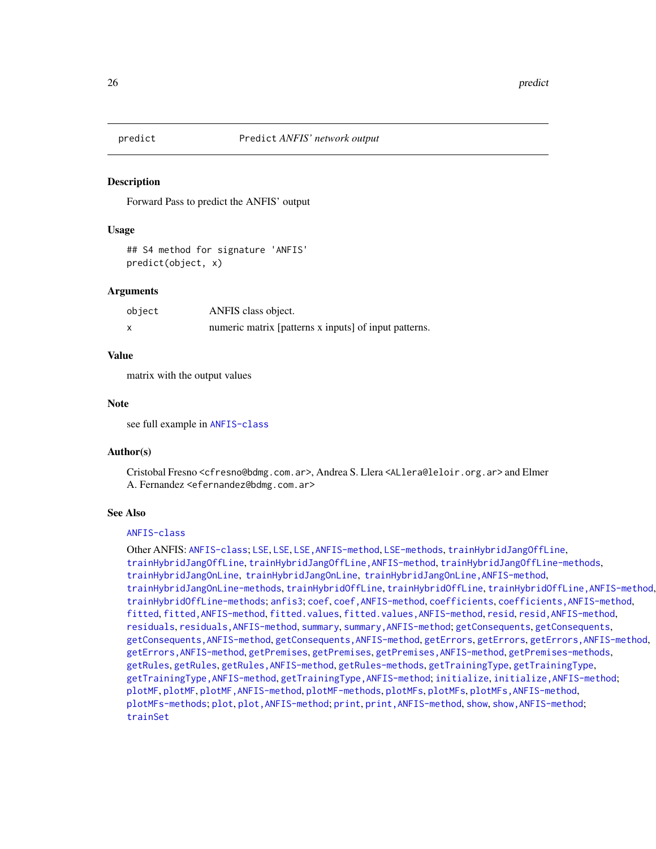<span id="page-25-1"></span><span id="page-25-0"></span>

#### Description

Forward Pass to predict the ANFIS' output

#### Usage

## S4 method for signature 'ANFIS' predict(object, x)

#### Arguments

| object | ANFIS class object.                                   |
|--------|-------------------------------------------------------|
|        | numeric matrix [patterns x inputs] of input patterns. |

#### Value

matrix with the output values

#### Note

see full example in [ANFIS-class](#page-2-1)

#### Author(s)

Cristobal Fresno <cfresno@bdmg.com.ar>, Andrea S. Llera <ALlera@leloir.org.ar> and Elmer A. Fernandez <efernandez@bdmg.com.ar>

## See Also

#### [ANFIS-class](#page-2-1)

Other ANFIS: [ANFIS-class](#page-2-1): [LSE](#page-18-1), LSE, LSE, ANFIS-method, [LSE-methods](#page-18-2), [trainHybridJangOffLine](#page-18-2), [trainHybridJangOffLine](#page-18-2), [trainHybridJangOffLine,ANFIS-method](#page-0-0), [trainHybridJangOffLine-methods](#page-18-2), [trainHybridJangOnLine](#page-18-2), [trainHybridJangOnLine](#page-18-2), [trainHybridJangOnLine,ANFIS-method](#page-0-0), [trainHybridJangOnLine-methods](#page-18-2), [trainHybridOffLine](#page-18-2), trainHybridOffLine, trainHybridOffLine, ANFIS-method, [trainHybridOffLine-methods](#page-18-2); [anfis3](#page-5-1); [coef](#page-13-1), [coef,ANFIS-method](#page-0-0), [coefficients](#page-13-1), [coefficients,ANFIS-method](#page-0-0), [fitted](#page-13-2), fitted, ANFIS-method, [fitted.values](#page-13-1), fitted.values, ANFIS-method, [resid](#page-13-1), resid, ANFIS-method, [residuals](#page-13-1), [residuals,ANFIS-method](#page-0-0), [summary](#page-13-1), [summary,ANFIS-method](#page-0-0); [getConsequents](#page-16-1), [getConsequents](#page-16-1), [getConsequents,ANFIS-method](#page-0-0), [getConsequents,ANFIS-method](#page-0-0), [getErrors](#page-16-1), [getErrors](#page-16-1), [getErrors,ANFIS-method](#page-0-0), [getErrors,ANFIS-method](#page-0-0), [getPremises](#page-16-1), [getPremises](#page-16-1), [getPremises,ANFIS-method](#page-0-0), [getPremises-methods](#page-16-1), [getRules](#page-16-2), [getRules](#page-16-2), [getRules,ANFIS-method](#page-0-0), [getRules-methods](#page-16-1), [getTrainingType](#page-16-1), [getTrainingType](#page-16-1), [getTrainingType,ANFIS-method](#page-0-0), [getTrainingType,ANFIS-method](#page-0-0); [initialize](#page-17-1), [initialize,ANFIS-method](#page-0-0); [plotMF](#page-23-1), [plotMF](#page-23-1), [plotMF,ANFIS-method](#page-0-0), [plotMF-methods](#page-23-2), [plotMFs](#page-23-2), [plotMFs](#page-23-2), [plotMFs,ANFIS-method](#page-0-0), [plotMFs-methods](#page-23-2); [plot](#page-22-1), [plot,ANFIS-method](#page-0-0); [print](#page-26-1), [print,ANFIS-method](#page-0-0), [show](#page-26-2), [show,ANFIS-method](#page-0-0); [trainSet](#page-29-1)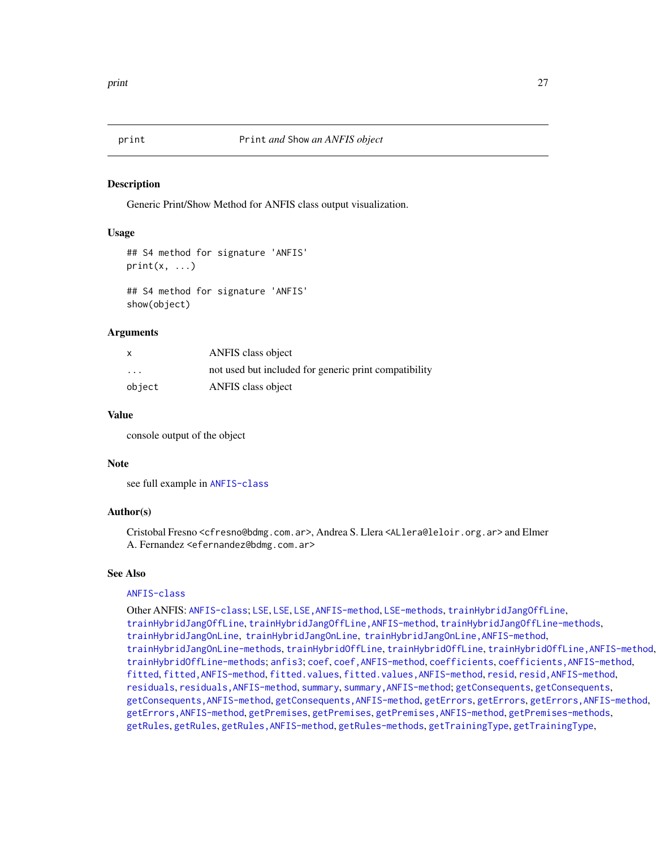<span id="page-26-1"></span><span id="page-26-0"></span>

#### <span id="page-26-2"></span>Description

Generic Print/Show Method for ANFIS class output visualization.

#### Usage

```
## S4 method for signature 'ANFIS'
print(x, \ldots)
```

```
## S4 method for signature 'ANFIS'
show(object)
```
#### Arguments

|          | ANFIS class object                                    |
|----------|-------------------------------------------------------|
| $\cdots$ | not used but included for generic print compatibility |
| object   | ANFIS class object                                    |

#### Value

console output of the object

#### Note

see full example in [ANFIS-class](#page-2-1)

## Author(s)

Cristobal Fresno <cfresno@bdmg.com.ar>, Andrea S. Llera <ALlera@leloir.org.ar> and Elmer A. Fernandez <efernandez@bdmg.com.ar>

## See Also

#### [ANFIS-class](#page-2-1)

Other ANFIS: [ANFIS-class](#page-2-1); [LSE](#page-18-1), [LSE](#page-18-1), [LSE,ANFIS-method](#page-0-0), [LSE-methods](#page-18-2), [trainHybridJangOffLine](#page-18-2), [trainHybridJangOffLine](#page-18-2), [trainHybridJangOffLine,ANFIS-method](#page-0-0), [trainHybridJangOffLine-methods](#page-18-2), [trainHybridJangOnLine](#page-18-2), [trainHybridJangOnLine](#page-18-2), [trainHybridJangOnLine,ANFIS-method](#page-0-0), [trainHybridJangOnLine-methods](#page-18-2), [trainHybridOffLine](#page-18-2), trainHybridOffLine, trainHybridOffLine, ANFIS-method, [trainHybridOffLine-methods](#page-18-2); [anfis3](#page-5-1); [coef](#page-13-1), [coef,ANFIS-method](#page-0-0), [coefficients](#page-13-1), [coefficients,ANFIS-method](#page-0-0), [fitted](#page-13-2), fitted, ANFIS-method, [fitted.values](#page-13-1), fitted.values, ANFIS-method, [resid](#page-13-1), resid, ANFIS-method, [residuals](#page-13-1), [residuals,ANFIS-method](#page-0-0), [summary](#page-13-1), [summary,ANFIS-method](#page-0-0); [getConsequents](#page-16-1), [getConsequents](#page-16-1), [getConsequents,ANFIS-method](#page-0-0), [getConsequents,ANFIS-method](#page-0-0), [getErrors](#page-16-1), [getErrors](#page-16-1), [getErrors,ANFIS-method](#page-0-0), [getErrors,ANFIS-method](#page-0-0), [getPremises](#page-16-1), [getPremises](#page-16-1), [getPremises,ANFIS-method](#page-0-0), [getPremises-methods](#page-16-1), [getRules](#page-16-2), [getRules](#page-16-2), [getRules,ANFIS-method](#page-0-0), [getRules-methods](#page-16-1), [getTrainingType](#page-16-1), [getTrainingType](#page-16-1),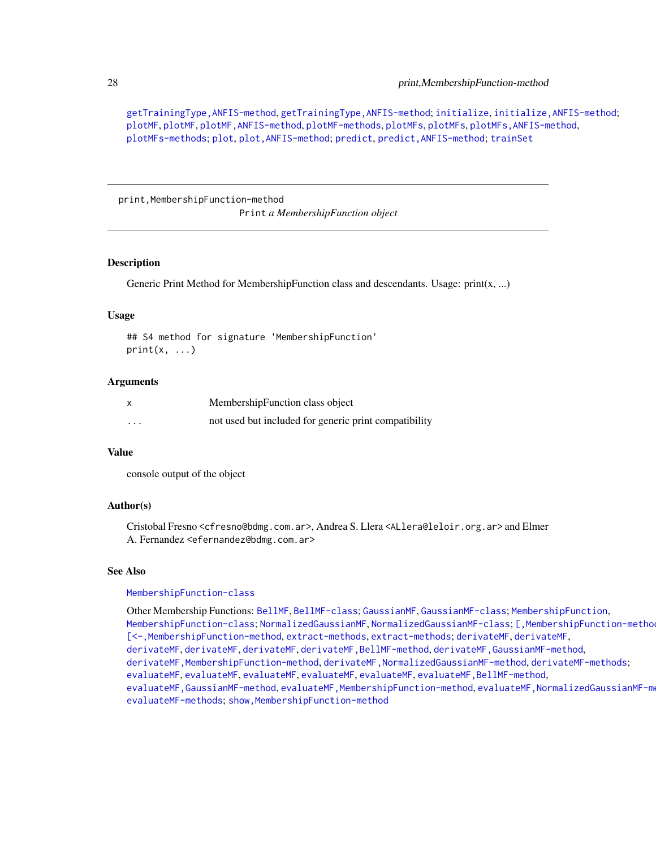[getTrainingType,ANFIS-method](#page-0-0), [getTrainingType,ANFIS-method](#page-0-0); [initialize](#page-17-1), [initialize,ANFIS-method](#page-0-0); [plotMF](#page-23-1), [plotMF](#page-23-1), [plotMF,ANFIS-method](#page-0-0), [plotMF-methods](#page-23-2), [plotMFs](#page-23-2), [plotMFs](#page-23-2), [plotMFs,ANFIS-method](#page-0-0), [plotMFs-methods](#page-23-2); [plot](#page-22-1), [plot,ANFIS-method](#page-0-0); [predict](#page-25-1), [predict,ANFIS-method](#page-0-0); [trainSet](#page-29-1)

print,MembershipFunction-method

Print *a MembershipFunction object*

## **Description**

Generic Print Method for MembershipFunction class and descendants. Usage: print(x, ...)

#### Usage

```
## S4 method for signature 'MembershipFunction'
print(x, \ldots)
```
## Arguments

|          | MembershipFunction class object                       |
|----------|-------------------------------------------------------|
| $\cdots$ | not used but included for generic print compatibility |

## Value

console output of the object

## Author(s)

Cristobal Fresno <cfresno@bdmg.com.ar>, Andrea S. Llera <ALlera@leloir.org.ar> and Elmer A. Fernandez <efernandez@bdmg.com.ar>

#### See Also

#### [MembershipFunction-class](#page-20-2)

Other Membership Functions: [BellMF](#page-6-2), [BellMF-class](#page-6-1); [GaussianMF](#page-14-2), [GaussianMF-class](#page-14-1); [MembershipFunction](#page-20-1), [MembershipFunction-class](#page-20-2); [NormalizedGaussianMF](#page-21-2), [NormalizedGaussianMF-class](#page-21-1); [, MembershipFunction-metho [\[<-,MembershipFunction-method](#page-0-0), [extract-methods](#page-12-1), [extract-methods](#page-12-1); [derivateMF](#page-7-1), [derivateMF](#page-7-1), [derivateMF](#page-7-1), [derivateMF](#page-7-1), [derivateMF](#page-7-1), [derivateMF,BellMF-method](#page-0-0), [derivateMF,GaussianMF-method](#page-0-0), [derivateMF,MembershipFunction-method](#page-0-0), [derivateMF,NormalizedGaussianMF-method](#page-0-0), [derivateMF-methods](#page-7-2); [evaluateMF](#page-10-1), evaluateMF, evaluateMF, evaluateMF, evaluateMF, evaluateMF, BellMF-method, evaluateMF, GaussianMF-method, evaluateMF, MembershipFunction-method, evaluateMF, NormalizedGaussianMF-m [evaluateMF-methods](#page-10-2); [show,MembershipFunction-method](#page-0-0)

<span id="page-27-0"></span>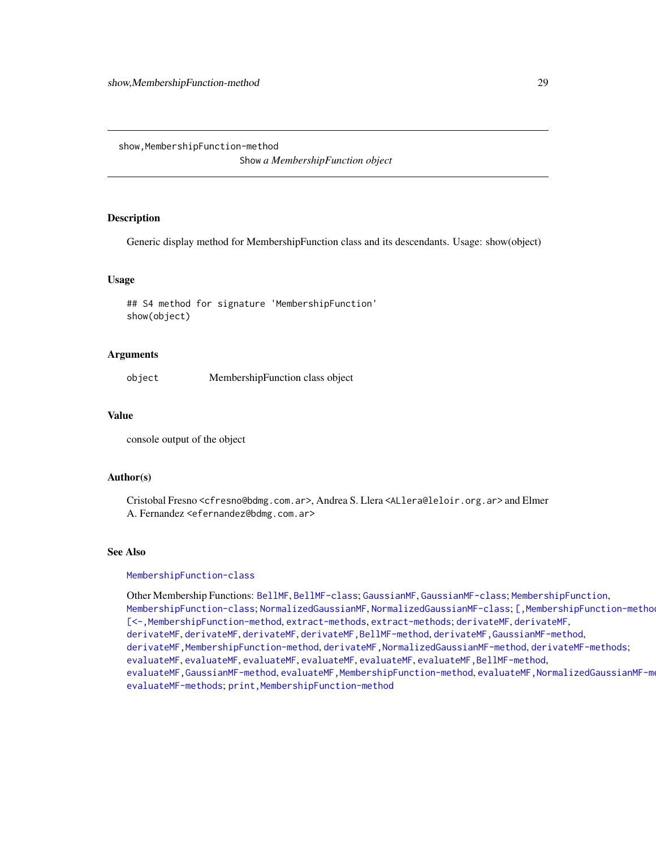<span id="page-28-0"></span>show, MembershipFunction-method

Show *a MembershipFunction object*

## Description

Generic display method for MembershipFunction class and its descendants. Usage: show(object)

## Usage

## S4 method for signature 'MembershipFunction' show(object)

## Arguments

object MembershipFunction class object

#### Value

console output of the object

#### Author(s)

Cristobal Fresno <cfresno@bdmg.com.ar>, Andrea S. Llera <ALlera@leloir.org.ar> and Elmer A. Fernandez <efernandez@bdmg.com.ar>

## See Also

#### [MembershipFunction-class](#page-20-2)

Other Membership Functions: [BellMF](#page-6-2), [BellMF-class](#page-6-1); [GaussianMF](#page-14-2), [GaussianMF-class](#page-14-1); [MembershipFunction](#page-20-1), [MembershipFunction-class](#page-20-2); [NormalizedGaussianMF](#page-21-2), [NormalizedGaussianMF-class](#page-21-1); [, MembershipFunction-metho [\[<-,MembershipFunction-method](#page-0-0), [extract-methods](#page-12-1), [extract-methods](#page-12-1); [derivateMF](#page-7-1), [derivateMF](#page-7-1), [derivateMF](#page-7-1), [derivateMF](#page-7-1), [derivateMF](#page-7-1), [derivateMF,BellMF-method](#page-0-0), [derivateMF,GaussianMF-method](#page-0-0), [derivateMF,MembershipFunction-method](#page-0-0), [derivateMF,NormalizedGaussianMF-method](#page-0-0), [derivateMF-methods](#page-7-2); [evaluateMF](#page-10-1), [evaluateMF](#page-10-1), [evaluateMF](#page-10-1), [evaluateMF](#page-10-1), [evaluateMF](#page-10-1), [evaluateMF,BellMF-method](#page-0-0), evaluateMF, GaussianMF-method, evaluateMF, MembershipFunction-method, evaluateMF, NormalizedGaussianMF-m [evaluateMF-methods](#page-10-2); [print,MembershipFunction-method](#page-0-0)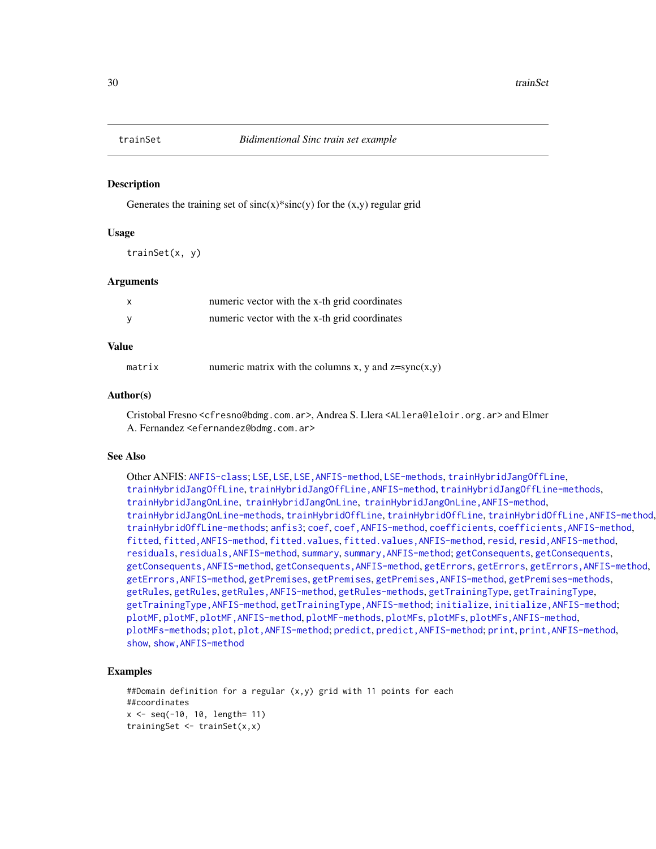<span id="page-29-1"></span><span id="page-29-0"></span>

#### Description

Generates the training set of  $sinc(x)*sinc(y)$  for the  $(x,y)$  regular grid

#### Usage

trainSet(x, y)

#### Arguments

| $\boldsymbol{\mathsf{x}}$ | numeric vector with the x-th grid coordinates |
|---------------------------|-----------------------------------------------|
| <b>V</b>                  | numeric vector with the x-th grid coordinates |

## Value

| numeric matrix with the columns x, y and $z = sync(x,y)$<br>matrix |
|--------------------------------------------------------------------|
|--------------------------------------------------------------------|

#### Author(s)

Cristobal Fresno <cfresno@bdmg.com.ar>, Andrea S. Llera <ALlera@leloir.org.ar> and Elmer A. Fernandez <efernandez@bdmg.com.ar>

#### See Also

Other ANFIS: [ANFIS-class](#page-2-1); [LSE](#page-18-1), [LSE](#page-18-1), [LSE,ANFIS-method](#page-0-0), [LSE-methods](#page-18-2), [trainHybridJangOffLine](#page-18-2), [trainHybridJangOffLine](#page-18-2), [trainHybridJangOffLine,ANFIS-method](#page-0-0), [trainHybridJangOffLine-methods](#page-18-2), [trainHybridJangOnLine](#page-18-2), [trainHybridJangOnLine](#page-18-2), [trainHybridJangOnLine,ANFIS-method](#page-0-0), [trainHybridJangOnLine-methods](#page-18-2), [trainHybridOffLine](#page-18-2), trainHybridOffLine, trainHybridOffLine, ANFIS-method. [trainHybridOffLine-methods](#page-18-2); [anfis3](#page-5-1); [coef](#page-13-1), [coef,ANFIS-method](#page-0-0), [coefficients](#page-13-1), [coefficients,ANFIS-method](#page-0-0), [fitted](#page-13-2), fitted, ANFIS-method, [fitted.values](#page-13-1), fitted.values, ANFIS-method, [resid](#page-13-1), resid, ANFIS-method, [residuals](#page-13-1), [residuals,ANFIS-method](#page-0-0), [summary](#page-13-1), [summary,ANFIS-method](#page-0-0); [getConsequents](#page-16-1), [getConsequents](#page-16-1), [getConsequents,ANFIS-method](#page-0-0), [getConsequents,ANFIS-method](#page-0-0), [getErrors](#page-16-1), [getErrors](#page-16-1), [getErrors,ANFIS-method](#page-0-0), [getErrors,ANFIS-method](#page-0-0), [getPremises](#page-16-1), [getPremises](#page-16-1), [getPremises,ANFIS-method](#page-0-0), [getPremises-methods](#page-16-1), [getRules](#page-16-2), [getRules](#page-16-2), [getRules,ANFIS-method](#page-0-0), [getRules-methods](#page-16-1), [getTrainingType](#page-16-1), [getTrainingType](#page-16-1), [getTrainingType,ANFIS-method](#page-0-0), [getTrainingType,ANFIS-method](#page-0-0); [initialize](#page-17-1), [initialize,ANFIS-method](#page-0-0); [plotMF](#page-23-1), [plotMF](#page-23-1), [plotMF,ANFIS-method](#page-0-0), [plotMF-methods](#page-23-2), [plotMFs](#page-23-2), [plotMFs](#page-23-2), [plotMFs,ANFIS-method](#page-0-0), [plotMFs-methods](#page-23-2); [plot](#page-22-1), [plot,ANFIS-method](#page-0-0); [predict](#page-25-1), [predict,ANFIS-method](#page-0-0); [print](#page-26-1), [print,ANFIS-method](#page-0-0), [show](#page-26-2), [show,ANFIS-method](#page-0-0)

## Examples

```
##Domain definition for a regular (x,y) grid with 11 points for each
##coordinates
x <- seq(-10, 10, length= 11)
trainingSet <- trainSet(x,x)
```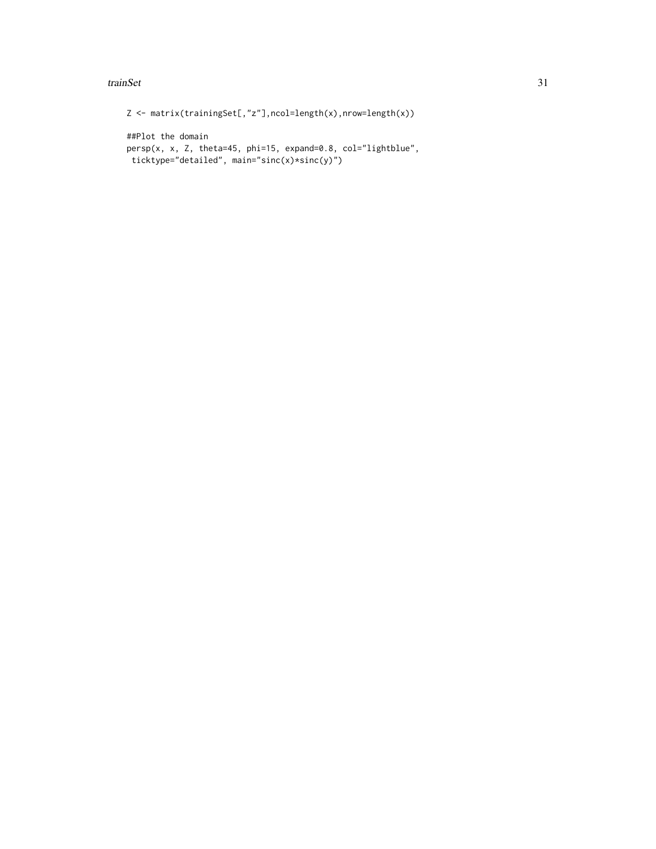#### trainSet 31

```
Z <- matrix(trainingSet[,"z"],ncol=length(x),nrow=length(x))
##Plot the domain
persp(x, x, Z, theta=45, phi=15, expand=0.8, col="lightblue",
ticktype="detailed", main="sinc(x)*sinc(y)")
```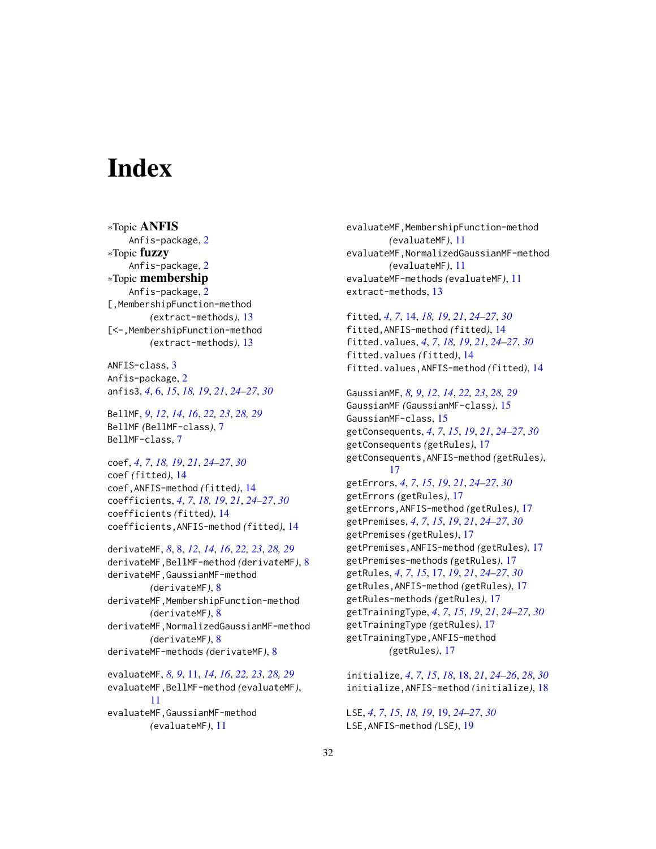# <span id="page-31-0"></span>**Index**

∗Topic ANFIS Anfis-package, [2](#page-1-0) ∗Topic fuzzy Anfis-package, [2](#page-1-0) ∗Topic membership Anfis-package, [2](#page-1-0) [,MembershipFunction-method *(*extract-methods*)*, [13](#page-12-0) [<-,MembershipFunction-method *(*extract-methods*)*, [13](#page-12-0)

ANFIS-class, [3](#page-2-0) Anfis-package, [2](#page-1-0) anfis3, *[4](#page-3-0)*, [6,](#page-5-0) *[15](#page-14-0)*, *[18,](#page-17-0) [19](#page-18-0)*, *[21](#page-20-0)*, *[24–](#page-23-0)[27](#page-26-0)*, *[30](#page-29-0)*

BellMF, *[9](#page-8-0)*, *[12](#page-11-0)*, *[14](#page-13-0)*, *[16](#page-15-0)*, *[22,](#page-21-0) [23](#page-22-0)*, *[28,](#page-27-0) [29](#page-28-0)* BellMF *(*BellMF-class*)*, [7](#page-6-0) BellMF-class, [7](#page-6-0)

coef, *[4](#page-3-0)*, *[7](#page-6-0)*, *[18,](#page-17-0) [19](#page-18-0)*, *[21](#page-20-0)*, *[24–](#page-23-0)[27](#page-26-0)*, *[30](#page-29-0)* coef *(*fitted*)*, [14](#page-13-0) coef,ANFIS-method *(*fitted*)*, [14](#page-13-0) coefficients, *[4](#page-3-0)*, *[7](#page-6-0)*, *[18,](#page-17-0) [19](#page-18-0)*, *[21](#page-20-0)*, *[24–](#page-23-0)[27](#page-26-0)*, *[30](#page-29-0)* coefficients *(*fitted*)*, [14](#page-13-0) coefficients,ANFIS-method *(*fitted*)*, [14](#page-13-0)

derivateMF, *[8](#page-7-0)*, [8,](#page-7-0) *[12](#page-11-0)*, *[14](#page-13-0)*, *[16](#page-15-0)*, *[22,](#page-21-0) [23](#page-22-0)*, *[28,](#page-27-0) [29](#page-28-0)* derivateMF,BellMF-method *(*derivateMF*)*, [8](#page-7-0) derivateMF,GaussianMF-method *(*derivateMF*)*, [8](#page-7-0) derivateMF,MembershipFunction-method *(*derivateMF*)*, [8](#page-7-0) derivateMF,NormalizedGaussianMF-method *(*derivateMF*)*, [8](#page-7-0) derivateMF-methods *(*derivateMF*)*, [8](#page-7-0) evaluateMF, *[8,](#page-7-0) [9](#page-8-0)*, [11,](#page-10-0) *[14](#page-13-0)*, *[16](#page-15-0)*, *[22,](#page-21-0) [23](#page-22-0)*, *[28,](#page-27-0) [29](#page-28-0)* evaluateMF,BellMF-method *(*evaluateMF*)*,

[11](#page-10-0) evaluateMF,GaussianMF-method *(*evaluateMF*)*, [11](#page-10-0)

evaluateMF,MembershipFunction-method *(*evaluateMF*)*, [11](#page-10-0) evaluateMF,NormalizedGaussianMF-method *(*evaluateMF*)*, [11](#page-10-0) evaluateMF-methods *(*evaluateMF*)*, [11](#page-10-0) extract-methods, [13](#page-12-0)

fitted, *[4](#page-3-0)*, *[7](#page-6-0)*, [14,](#page-13-0) *[18,](#page-17-0) [19](#page-18-0)*, *[21](#page-20-0)*, *[24](#page-23-0)[–27](#page-26-0)*, *[30](#page-29-0)* fitted,ANFIS-method *(*fitted*)*, [14](#page-13-0) fitted.values, *[4](#page-3-0)*, *[7](#page-6-0)*, *[18,](#page-17-0) [19](#page-18-0)*, *[21](#page-20-0)*, *[24](#page-23-0)[–27](#page-26-0)*, *[30](#page-29-0)* fitted.values *(*fitted*)*, [14](#page-13-0) fitted.values,ANFIS-method *(*fitted*)*, [14](#page-13-0)

GaussianMF, *[8,](#page-7-0) [9](#page-8-0)*, *[12](#page-11-0)*, *[14](#page-13-0)*, *[22,](#page-21-0) [23](#page-22-0)*, *[28,](#page-27-0) [29](#page-28-0)* GaussianMF *(*GaussianMF-class*)*, [15](#page-14-0) GaussianMF-class, [15](#page-14-0) getConsequents, *[4](#page-3-0)*, *[7](#page-6-0)*, *[15](#page-14-0)*, *[19](#page-18-0)*, *[21](#page-20-0)*, *[24](#page-23-0)[–27](#page-26-0)*, *[30](#page-29-0)* getConsequents *(*getRules*)*, [17](#page-16-0) getConsequents,ANFIS-method *(*getRules*)*, [17](#page-16-0) getErrors, *[4](#page-3-0)*, *[7](#page-6-0)*, *[15](#page-14-0)*, *[19](#page-18-0)*, *[21](#page-20-0)*, *[24](#page-23-0)[–27](#page-26-0)*, *[30](#page-29-0)* getErrors *(*getRules*)*, [17](#page-16-0) getErrors,ANFIS-method *(*getRules*)*, [17](#page-16-0) getPremises, *[4](#page-3-0)*, *[7](#page-6-0)*, *[15](#page-14-0)*, *[19](#page-18-0)*, *[21](#page-20-0)*, *[24](#page-23-0)[–27](#page-26-0)*, *[30](#page-29-0)* getPremises *(*getRules*)*, [17](#page-16-0) getPremises,ANFIS-method *(*getRules*)*, [17](#page-16-0) getPremises-methods *(*getRules*)*, [17](#page-16-0) getRules, *[4](#page-3-0)*, *[7](#page-6-0)*, *[15](#page-14-0)*, [17,](#page-16-0) *[19](#page-18-0)*, *[21](#page-20-0)*, *[24](#page-23-0)[–27](#page-26-0)*, *[30](#page-29-0)* getRules,ANFIS-method *(*getRules*)*, [17](#page-16-0) getRules-methods *(*getRules*)*, [17](#page-16-0) getTrainingType, *[4](#page-3-0)*, *[7](#page-6-0)*, *[15](#page-14-0)*, *[19](#page-18-0)*, *[21](#page-20-0)*, *[24](#page-23-0)[–27](#page-26-0)*, *[30](#page-29-0)* getTrainingType *(*getRules*)*, [17](#page-16-0) getTrainingType,ANFIS-method *(*getRules*)*, [17](#page-16-0)

initialize, *[4](#page-3-0)*, *[7](#page-6-0)*, *[15](#page-14-0)*, *[18](#page-17-0)*, [18,](#page-17-0) *[21](#page-20-0)*, *[24](#page-23-0)[–26](#page-25-0)*, *[28](#page-27-0)*, *[30](#page-29-0)* initialize,ANFIS-method *(*initialize*)*, [18](#page-17-0)

LSE, *[4](#page-3-0)*, *[7](#page-6-0)*, *[15](#page-14-0)*, *[18,](#page-17-0) [19](#page-18-0)*, [19,](#page-18-0) *[24](#page-23-0)[–27](#page-26-0)*, *[30](#page-29-0)* LSE,ANFIS-method *(*LSE*)*, [19](#page-18-0)